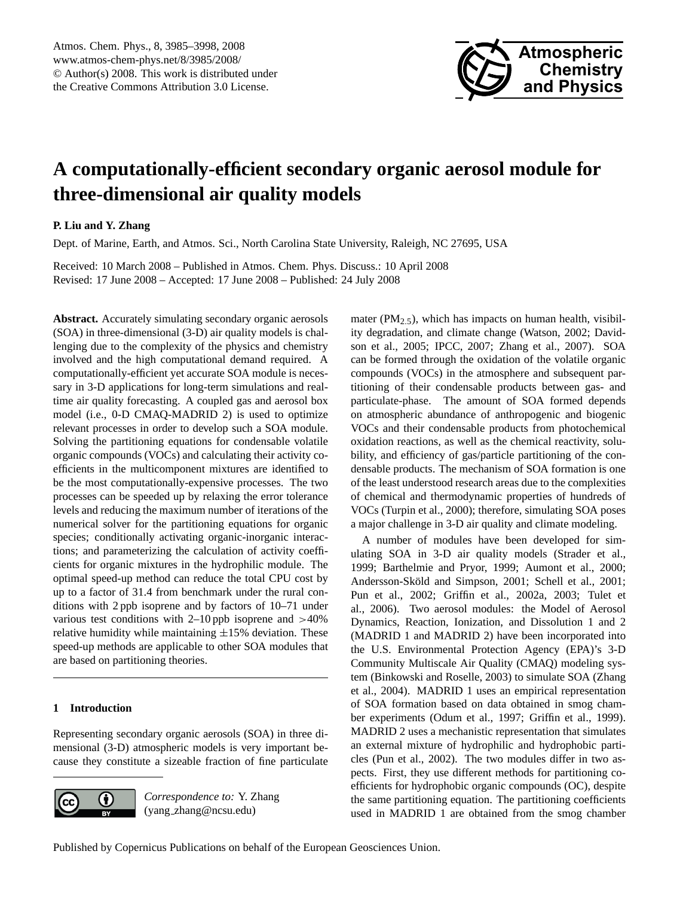

# <span id="page-0-0"></span>**A computationally-efficient secondary organic aerosol module for three-dimensional air quality models**

# **P. Liu and Y. Zhang**

Dept. of Marine, Earth, and Atmos. Sci., North Carolina State University, Raleigh, NC 27695, USA

Received: 10 March 2008 – Published in Atmos. Chem. Phys. Discuss.: 10 April 2008 Revised: 17 June 2008 – Accepted: 17 June 2008 – Published: 24 July 2008

**Abstract.** Accurately simulating secondary organic aerosols (SOA) in three-dimensional (3-D) air quality models is challenging due to the complexity of the physics and chemistry involved and the high computational demand required. A computationally-efficient yet accurate SOA module is necessary in 3-D applications for long-term simulations and realtime air quality forecasting. A coupled gas and aerosol box model (i.e., 0-D CMAQ-MADRID 2) is used to optimize relevant processes in order to develop such a SOA module. Solving the partitioning equations for condensable volatile organic compounds (VOCs) and calculating their activity coefficients in the multicomponent mixtures are identified to be the most computationally-expensive processes. The two processes can be speeded up by relaxing the error tolerance levels and reducing the maximum number of iterations of the numerical solver for the partitioning equations for organic species; conditionally activating organic-inorganic interactions; and parameterizing the calculation of activity coefficients for organic mixtures in the hydrophilic module. The optimal speed-up method can reduce the total CPU cost by up to a factor of 31.4 from benchmark under the rural conditions with 2 ppb isoprene and by factors of 10–71 under various test conditions with  $2-10$  ppb isoprene and  $>40\%$ relative humidity while maintaining  $\pm 15\%$  deviation. These speed-up methods are applicable to other SOA modules that are based on partitioning theories.

## **1 Introduction**

Representing secondary organic aerosols (SOA) in three dimensional (3-D) atmospheric models is very important because they constitute a sizeable fraction of fine particulate



*Correspondence to:* Y. Zhang (yang zhang@ncsu.edu)

mater ( $PM_{2,5}$ ), which has impacts on human health, visibility degradation, and climate change (Watson, 2002; Davidson et al., 2005; IPCC, 2007; Zhang et al., 2007). SOA can be formed through the oxidation of the volatile organic compounds (VOCs) in the atmosphere and subsequent partitioning of their condensable products between gas- and particulate-phase. The amount of SOA formed depends on atmospheric abundance of anthropogenic and biogenic VOCs and their condensable products from photochemical oxidation reactions, as well as the chemical reactivity, solubility, and efficiency of gas/particle partitioning of the condensable products. The mechanism of SOA formation is one of the least understood research areas due to the complexities of chemical and thermodynamic properties of hundreds of VOCs (Turpin et al., 2000); therefore, simulating SOA poses a major challenge in 3-D air quality and climate modeling.

A number of modules have been developed for simulating SOA in 3-D air quality models (Strader et al., 1999; Barthelmie and Pryor, 1999; Aumont et al., 2000; Andersson-Sköld and Simpson, 2001; Schell et al., 2001; Pun et al., 2002; Griffin et al., 2002a, 2003; Tulet et al., 2006). Two aerosol modules: the Model of Aerosol Dynamics, Reaction, Ionization, and Dissolution 1 and 2 (MADRID 1 and MADRID 2) have been incorporated into the U.S. Environmental Protection Agency (EPA)'s 3-D Community Multiscale Air Quality (CMAQ) modeling system (Binkowski and Roselle, 2003) to simulate SOA (Zhang et al., 2004). MADRID 1 uses an empirical representation of SOA formation based on data obtained in smog chamber experiments (Odum et al., 1997; Griffin et al., 1999). MADRID 2 uses a mechanistic representation that simulates an external mixture of hydrophilic and hydrophobic particles (Pun et al., 2002). The two modules differ in two aspects. First, they use different methods for partitioning coefficients for hydrophobic organic compounds (OC), despite the same partitioning equation. The partitioning coefficients used in MADRID 1 are obtained from the smog chamber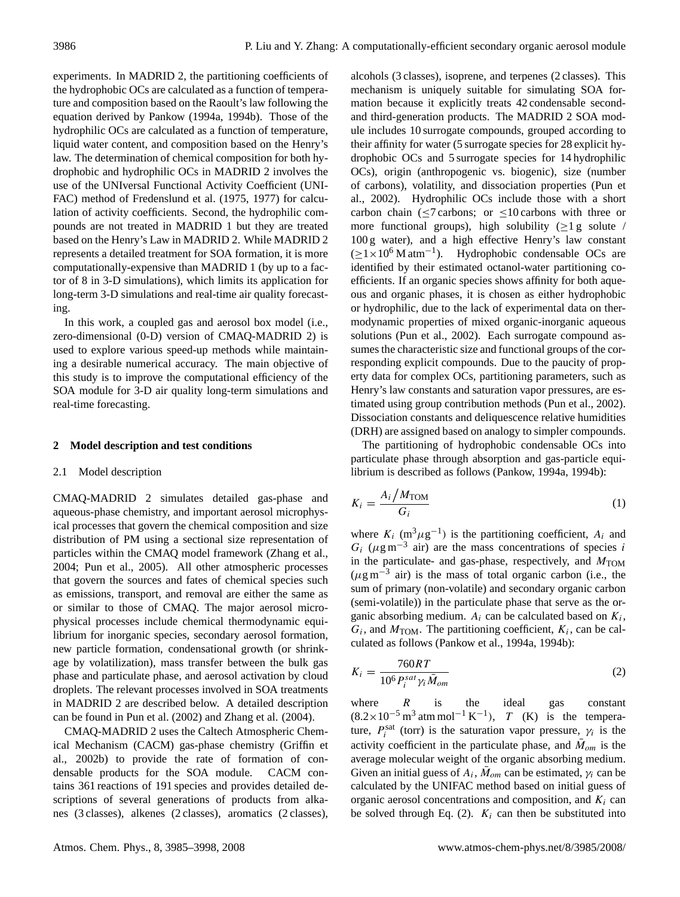experiments. In MADRID 2, the partitioning coefficients of the hydrophobic OCs are calculated as a function of temperature and composition based on the Raoult's law following the equation derived by Pankow (1994a, 1994b). Those of the hydrophilic OCs are calculated as a function of temperature, liquid water content, and composition based on the Henry's law. The determination of chemical composition for both hydrophobic and hydrophilic OCs in MADRID 2 involves the use of the UNIversal Functional Activity Coefficient (UNI-FAC) method of Fredenslund et al. (1975, 1977) for calculation of activity coefficients. Second, the hydrophilic compounds are not treated in MADRID 1 but they are treated based on the Henry's Law in MADRID 2. While MADRID 2 represents a detailed treatment for SOA formation, it is more computationally-expensive than MADRID 1 (by up to a factor of 8 in 3-D simulations), which limits its application for long-term 3-D simulations and real-time air quality forecasting.

In this work, a coupled gas and aerosol box model (i.e., zero-dimensional (0-D) version of CMAQ-MADRID 2) is used to explore various speed-up methods while maintaining a desirable numerical accuracy. The main objective of this study is to improve the computational efficiency of the SOA module for 3-D air quality long-term simulations and real-time forecasting.

## **2 Model description and test conditions**

#### 2.1 Model description

CMAQ-MADRID 2 simulates detailed gas-phase and aqueous-phase chemistry, and important aerosol microphysical processes that govern the chemical composition and size distribution of PM using a sectional size representation of particles within the CMAQ model framework (Zhang et al., 2004; Pun et al., 2005). All other atmospheric processes that govern the sources and fates of chemical species such as emissions, transport, and removal are either the same as or similar to those of CMAQ. The major aerosol microphysical processes include chemical thermodynamic equilibrium for inorganic species, secondary aerosol formation, new particle formation, condensational growth (or shrinkage by volatilization), mass transfer between the bulk gas phase and particulate phase, and aerosol activation by cloud droplets. The relevant processes involved in SOA treatments in MADRID 2 are described below. A detailed description can be found in Pun et al. (2002) and Zhang et al. (2004).

CMAQ-MADRID 2 uses the Caltech Atmospheric Chemical Mechanism (CACM) gas-phase chemistry (Griffin et al., 2002b) to provide the rate of formation of condensable products for the SOA module. CACM contains 361 reactions of 191 species and provides detailed descriptions of several generations of products from alkanes (3 classes), alkenes (2 classes), aromatics (2 classes), alcohols (3 classes), isoprene, and terpenes (2 classes). This mechanism is uniquely suitable for simulating SOA formation because it explicitly treats 42 condensable secondand third-generation products. The MADRID 2 SOA module includes 10 surrogate compounds, grouped according to their affinity for water (5 surrogate species for 28 explicit hydrophobic OCs and 5 surrogate species for 14 hydrophilic OCs), origin (anthropogenic vs. biogenic), size (number of carbons), volatility, and dissociation properties (Pun et al., 2002). Hydrophilic OCs include those with a short carbon chain ( $\leq$ 7 carbons; or  $\leq$ 10 carbons with three or more functional groups), high solubility  $(\geq 1 \text{ g}$  solute / 100 g water), and a high effective Henry's law constant (≥1×10<sup>6</sup> M atm−<sup>1</sup> ). Hydrophobic condensable OCs are identified by their estimated octanol-water partitioning coefficients. If an organic species shows affinity for both aqueous and organic phases, it is chosen as either hydrophobic or hydrophilic, due to the lack of experimental data on thermodynamic properties of mixed organic-inorganic aqueous solutions (Pun et al., 2002). Each surrogate compound assumes the characteristic size and functional groups of the corresponding explicit compounds. Due to the paucity of property data for complex OCs, partitioning parameters, such as Henry's law constants and saturation vapor pressures, are estimated using group contribution methods (Pun et al., 2002). Dissociation constants and deliquescence relative humidities (DRH) are assigned based on analogy to simpler compounds.

The partitioning of hydrophobic condensable OCs into particulate phase through absorption and gas-particle equilibrium is described as follows (Pankow, 1994a, 1994b):

$$
K_i = \frac{A_i / M_{\text{TOM}}}{G_i} \tag{1}
$$

where  $K_i$  (m<sup>3</sup> $\mu$ g<sup>-1</sup>) is the partitioning coefficient,  $A_i$  and  $G_i$  ( $\mu$ g m<sup>-3</sup> air) are the mass concentrations of species i in the particulate- and gas-phase, respectively, and  $M_{\text{TON}}$  $(\mu g m^{-3}$  air) is the mass of total organic carbon (i.e., the sum of primary (non-volatile) and secondary organic carbon (semi-volatile)) in the particulate phase that serve as the organic absorbing medium.  $A_i$  can be calculated based on  $K_i$ ,  $G_i$ , and  $M_{\text{TOM}}$ . The partitioning coefficient,  $K_i$ , can be calculated as follows (Pankow et al., 1994a, 1994b):

$$
K_i = \frac{760RT}{10^6 P_i^{sat} \gamma_i \bar{M}_{om}}
$$
 (2)

where  $R$  is the ideal gas constant  $(8.2 \times 10^{-5} \text{ m}^3 \text{ atm} \text{ mol}^{-1} \text{ K}^{-1}),$  T (K) is the temperature,  $P_i^{\text{sat}}$  (torr) is the saturation vapor pressure,  $\gamma_i$  is the activity coefficient in the particulate phase, and  $\bar{M}_{om}$  is the average molecular weight of the organic absorbing medium. Given an initial guess of  $A_i$ ,  $\bar{M}_{om}$  can be estimated,  $\gamma_i$  can be calculated by the UNIFAC method based on initial guess of organic aerosol concentrations and composition, and  $K_i$  can be solved through Eq. (2).  $K_i$  can then be substituted into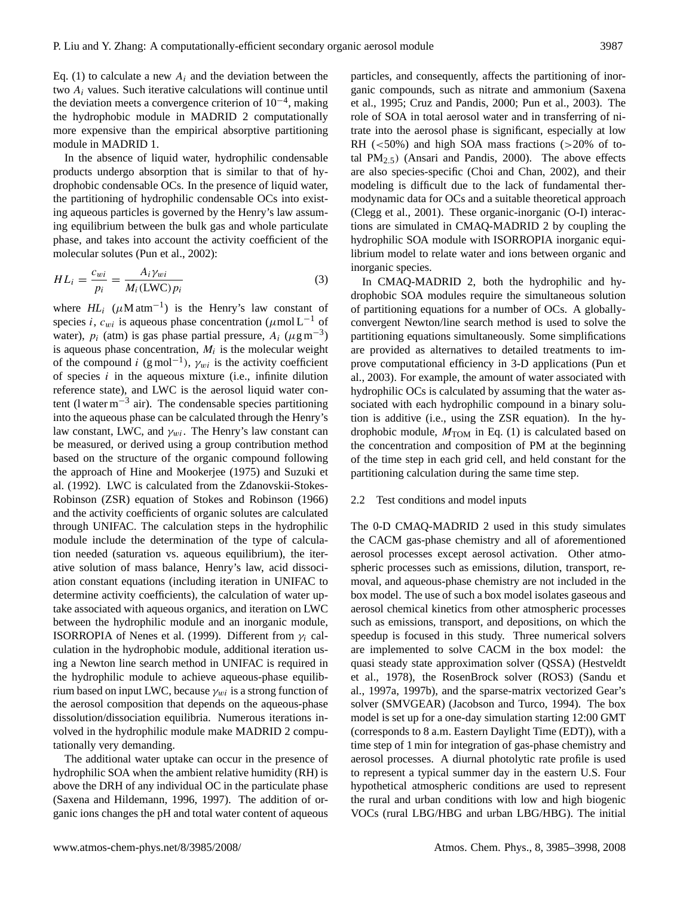Eq. (1) to calculate a new  $A_i$  and the deviation between the two  $A_i$  values. Such iterative calculations will continue until the deviation meets a convergence criterion of  $10^{-4}$ , making the hydrophobic module in MADRID 2 computationally more expensive than the empirical absorptive partitioning module in MADRID 1.

In the absence of liquid water, hydrophilic condensable products undergo absorption that is similar to that of hydrophobic condensable OCs. In the presence of liquid water, the partitioning of hydrophilic condensable OCs into existing aqueous particles is governed by the Henry's law assuming equilibrium between the bulk gas and whole particulate phase, and takes into account the activity coefficient of the molecular solutes (Pun et al., 2002):

$$
HL_i = \frac{c_{wi}}{p_i} = \frac{A_i \gamma_{wi}}{M_i (\text{LWC}) p_i}
$$
(3)

where  $HL_i$  ( $\mu$ M atm<sup>-1</sup>) is the Henry's law constant of species i,  $c_{wi}$  is aqueous phase concentration ( $\mu$ mol L<sup>-1</sup> of water),  $p_i$  (atm) is gas phase partial pressure,  $A_i$  ( $\mu$ g m<sup>-3</sup>) is aqueous phase concentration,  $M_i$  is the molecular weight of the compound i  $(g \text{ mol}^{-1})$ ,  $\gamma_{wi}$  is the activity coefficient of species  $i$  in the aqueous mixture (i.e., infinite dilution reference state), and LWC is the aerosol liquid water content (l water  $m^{-3}$  air). The condensable species partitioning into the aqueous phase can be calculated through the Henry's law constant, LWC, and  $\gamma_{wi}$ . The Henry's law constant can be measured, or derived using a group contribution method based on the structure of the organic compound following the approach of Hine and Mookerjee (1975) and Suzuki et al. (1992). LWC is calculated from the Zdanovskii-Stokes-Robinson (ZSR) equation of Stokes and Robinson (1966) and the activity coefficients of organic solutes are calculated through UNIFAC. The calculation steps in the hydrophilic module include the determination of the type of calculation needed (saturation vs. aqueous equilibrium), the iterative solution of mass balance, Henry's law, acid dissociation constant equations (including iteration in UNIFAC to determine activity coefficients), the calculation of water uptake associated with aqueous organics, and iteration on LWC between the hydrophilic module and an inorganic module, ISORROPIA of Nenes et al. (1999). Different from  $\gamma_i$  calculation in the hydrophobic module, additional iteration using a Newton line search method in UNIFAC is required in the hydrophilic module to achieve aqueous-phase equilibrium based on input LWC, because  $\gamma_{wi}$  is a strong function of the aerosol composition that depends on the aqueous-phase dissolution/dissociation equilibria. Numerous iterations involved in the hydrophilic module make MADRID 2 computationally very demanding.

The additional water uptake can occur in the presence of hydrophilic SOA when the ambient relative humidity (RH) is above the DRH of any individual OC in the particulate phase (Saxena and Hildemann, 1996, 1997). The addition of organic ions changes the pH and total water content of aqueous particles, and consequently, affects the partitioning of inorganic compounds, such as nitrate and ammonium (Saxena et al., 1995; Cruz and Pandis, 2000; Pun et al., 2003). The role of SOA in total aerosol water and in transferring of nitrate into the aerosol phase is significant, especially at low RH  $\left( < 50\% \right)$  and high SOA mass fractions  $\left( > 20\% \right)$  of total  $PM_{2.5}$ ) (Ansari and Pandis, 2000). The above effects are also species-specific (Choi and Chan, 2002), and their modeling is difficult due to the lack of fundamental thermodynamic data for OCs and a suitable theoretical approach (Clegg et al., 2001). These organic-inorganic (O-I) interactions are simulated in CMAQ-MADRID 2 by coupling the hydrophilic SOA module with ISORROPIA inorganic equilibrium model to relate water and ions between organic and inorganic species.

In CMAQ-MADRID 2, both the hydrophilic and hydrophobic SOA modules require the simultaneous solution of partitioning equations for a number of OCs. A globallyconvergent Newton/line search method is used to solve the partitioning equations simultaneously. Some simplifications are provided as alternatives to detailed treatments to improve computational efficiency in 3-D applications (Pun et al., 2003). For example, the amount of water associated with hydrophilic OCs is calculated by assuming that the water associated with each hydrophilic compound in a binary solution is additive (i.e., using the ZSR equation). In the hydrophobic module,  $M_{\text{TOM}}$  in Eq. (1) is calculated based on the concentration and composition of PM at the beginning of the time step in each grid cell, and held constant for the partitioning calculation during the same time step.

## 2.2 Test conditions and model inputs

The 0-D CMAQ-MADRID 2 used in this study simulates the CACM gas-phase chemistry and all of aforementioned aerosol processes except aerosol activation. Other atmospheric processes such as emissions, dilution, transport, removal, and aqueous-phase chemistry are not included in the box model. The use of such a box model isolates gaseous and aerosol chemical kinetics from other atmospheric processes such as emissions, transport, and depositions, on which the speedup is focused in this study. Three numerical solvers are implemented to solve CACM in the box model: the quasi steady state approximation solver (QSSA) (Hestveldt et al., 1978), the RosenBrock solver (ROS3) (Sandu et al., 1997a, 1997b), and the sparse-matrix vectorized Gear's solver (SMVGEAR) (Jacobson and Turco, 1994). The box model is set up for a one-day simulation starting 12:00 GMT (corresponds to 8 a.m. Eastern Daylight Time (EDT)), with a time step of 1 min for integration of gas-phase chemistry and aerosol processes. A diurnal photolytic rate profile is used to represent a typical summer day in the eastern U.S. Four hypothetical atmospheric conditions are used to represent the rural and urban conditions with low and high biogenic VOCs (rural LBG/HBG and urban LBG/HBG). The initial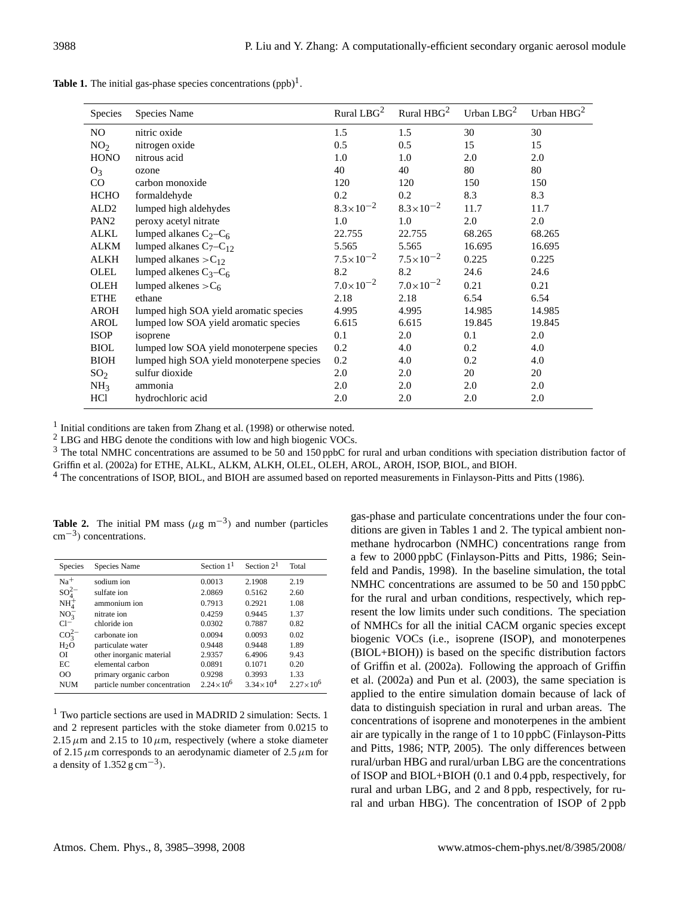| Species          | Species Name                              | Rural LBG <sup>2</sup> | Rural $HBG2$         | Urban $LBG2$ | Urban $HBG2$ |
|------------------|-------------------------------------------|------------------------|----------------------|--------------|--------------|
| N <sub>O</sub>   | nitric oxide                              | 1.5                    | 1.5                  | 30           | 30           |
| NO <sub>2</sub>  | nitrogen oxide                            | 0.5                    | 0.5                  | 15           | 15           |
| <b>HONO</b>      | nitrous acid                              | 1.0                    | 1.0                  | 2.0          | 2.0          |
| $O_3$            | ozone                                     | 40                     | 40                   | 80           | 80           |
| CO               | carbon monoxide                           | 120                    | 120                  | 150          | 150          |
| <b>HCHO</b>      | formaldehyde                              | 0.2                    | 0.2                  | 8.3          | 8.3          |
| ALD <sub>2</sub> | lumped high aldehydes                     | $8.3 \times 10^{-2}$   | $8.3 \times 10^{-2}$ | 11.7         | 11.7         |
| PAN <sub>2</sub> | peroxy acetyl nitrate                     | 1.0                    | 1.0                  | 2.0          | 2.0          |
| ALKL             | lumped alkanes $C_2 - C_6$                | 22.755                 | 22.755               | 68.265       | 68.265       |
| <b>ALKM</b>      | lumped alkanes $C_7 - C_1$                | 5.565                  | 5.565                | 16.695       | 16.695       |
| ALKH             | lumped alkanes $>C_{12}$                  | $7.5 \times 10^{-2}$   | $7.5 \times 10^{-2}$ | 0.225        | 0.225        |
| OLEL             | lumped alkenes $C_3 - C_6$                | 8.2                    | 8.2                  | 24.6         | 24.6         |
| <b>OLEH</b>      | lumped alkenes $>C_6$                     | $7.0\times10^{-2}$     | $7.0\times10^{-2}$   | 0.21         | 0.21         |
| <b>ETHE</b>      | ethane                                    | 2.18                   | 2.18                 | 6.54         | 6.54         |
| AROH             | lumped high SOA yield aromatic species    | 4.995                  | 4.995                | 14.985       | 14.985       |
| AROL             | lumped low SOA yield aromatic species     | 6.615                  | 6.615                | 19.845       | 19.845       |
| <b>ISOP</b>      | isoprene                                  | 0.1                    | 2.0                  | 0.1          | 2.0          |
| <b>BIOL</b>      | lumped low SOA yield monoterpene species  | 0.2                    | 4.0                  | 0.2          | 4.0          |
| <b>BIOH</b>      | lumped high SOA yield monoterpene species | 0.2                    | 4.0                  | 0.2          | 4.0          |
| SO <sub>2</sub>  | sulfur dioxide                            | 2.0                    | 2.0                  | 20           | 20           |
| NH <sub>3</sub>  | ammonia                                   | 2.0                    | 2.0                  | 2.0          | 2.0          |
| <b>HCl</b>       | hydrochloric acid                         | 2.0                    | 2.0                  | 2.0          | 2.0          |

**Table 1.** The initial gas-phase species concentrations  $(ppb)^1$ .

<sup>1</sup> Initial conditions are taken from Zhang et al. (1998) or otherwise noted.

<sup>2</sup> LBG and HBG denote the conditions with low and high biogenic VOCs.

<sup>3</sup> The total NMHC concentrations are assumed to be 50 and 150 ppbC for rural and urban conditions with speciation distribution factor of Griffin et al. (2002a) for ETHE, ALKL, ALKM, ALKH, OLEL, OLEH, AROL, AROH, ISOP, BIOL, and BIOH.

<sup>4</sup> The concentrations of ISOP, BIOL, and BIOH are assumed based on reported measurements in Finlayson-Pitts and Pitts (1986).

**Table 2.** The initial PM mass ( $\mu$ g m<sup>-3</sup>) and number (particles cm−<sup>3</sup> ) concentrations.

| Species          | Species Name                  | Section $11$         | Section $21$         | Total              |
|------------------|-------------------------------|----------------------|----------------------|--------------------|
| $Na+$            | sodium ion                    | 0.0013               | 2.1908               | 2.19               |
| $SO_4^{2-}$      | sulfate ion                   | 2.0869               | 0.5162               | 2.60               |
| NH <sub>4</sub>  | ammonium ion                  | 0.7913               | 0.2921               | 1.08               |
| $NO_2^-$         | nitrate ion                   | 0.4259               | 0.9445               | 1.37               |
| $Cl^-$           | chloride ion                  | 0.0302               | 0.7887               | 0.82               |
| $\rm{CO_2^{2-}}$ | carbonate ion                 | 0.0094               | 0.0093               | 0.02               |
| H <sub>2</sub> O | particulate water             | 0.9448               | 0.9448               | 1.89               |
| ΩĪ               | other inorganic material      | 2.9357               | 6.4906               | 9.43               |
| EC               | elemental carbon              | 0.0891               | 0.1071               | 0.20               |
| $\Omega$         | primary organic carbon        | 0.9298               | 0.3993               | 1.33               |
| <b>NUM</b>       | particle number concentration | $2.24 \times 10^{6}$ | $3.34 \times 10^{4}$ | $2.27\times10^{6}$ |

 $<sup>1</sup>$  Two particle sections are used in MADRID 2 simulation: Sects. 1</sup> and 2 represent particles with the stoke diameter from 0.0215 to 2.15  $\mu$ m and 2.15 to 10  $\mu$ m, respectively (where a stoke diameter of 2.15  $\mu$ m corresponds to an aerodynamic diameter of 2.5  $\mu$ m for a density of  $1.352 \text{ g cm}^{-3}$ ).

gas-phase and particulate concentrations under the four conditions are given in Tables 1 and 2. The typical ambient nonmethane hydrocarbon (NMHC) concentrations range from a few to 2000 ppbC (Finlayson-Pitts and Pitts, 1986; Seinfeld and Pandis, 1998). In the baseline simulation, the total NMHC concentrations are assumed to be 50 and 150 ppbC for the rural and urban conditions, respectively, which represent the low limits under such conditions. The speciation of NMHCs for all the initial CACM organic species except biogenic VOCs (i.e., isoprene (ISOP), and monoterpenes (BIOL+BIOH)) is based on the specific distribution factors of Griffin et al. (2002a). Following the approach of Griffin et al. (2002a) and Pun et al. (2003), the same speciation is applied to the entire simulation domain because of lack of data to distinguish speciation in rural and urban areas. The concentrations of isoprene and monoterpenes in the ambient air are typically in the range of 1 to 10 ppbC (Finlayson-Pitts and Pitts, 1986; NTP, 2005). The only differences between rural/urban HBG and rural/urban LBG are the concentrations of ISOP and BIOL+BIOH (0.1 and 0.4 ppb, respectively, for rural and urban LBG, and 2 and 8 ppb, respectively, for rural and urban HBG). The concentration of ISOP of 2 ppb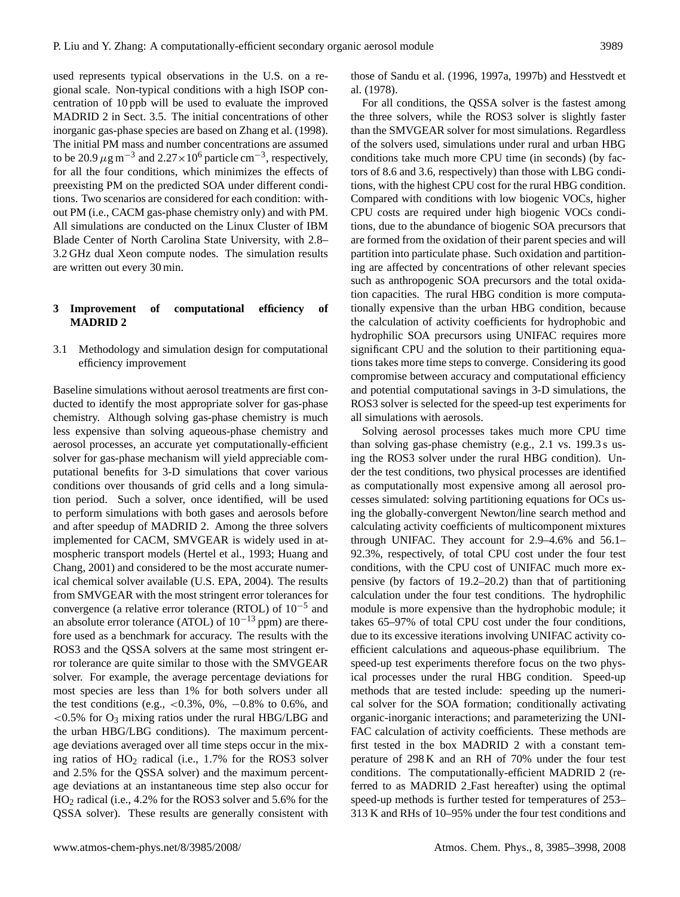used represents typical observations in the U.S. on a regional scale. Non-typical conditions with a high ISOP concentration of 10 ppb will be used to evaluate the improved MADRID 2 in Sect. 3.5. The initial concentrations of other inorganic gas-phase species are based on Zhang et al. (1998). The initial PM mass and number concentrations are assumed to be 20.9  $\mu$ g m<sup>-3</sup> and 2.27×10<sup>6</sup> particle cm<sup>-3</sup>, respectively, for all the four conditions, which minimizes the effects of preexisting PM on the predicted SOA under different conditions. Two scenarios are considered for each condition: without PM (i.e., CACM gas-phase chemistry only) and with PM. All simulations are conducted on the Linux Cluster of IBM Blade Center of North Carolina State University, with 2.8– 3.2 GHz dual Xeon compute nodes. The simulation results are written out every 30 min.

## **3 Improvement of computational efficiency of MADRID 2**

3.1 Methodology and simulation design for computational efficiency improvement

Baseline simulations without aerosol treatments are first conducted to identify the most appropriate solver for gas-phase chemistry. Although solving gas-phase chemistry is much less expensive than solving aqueous-phase chemistry and aerosol processes, an accurate yet computationally-efficient solver for gas-phase mechanism will yield appreciable computational benefits for 3-D simulations that cover various conditions over thousands of grid cells and a long simulation period. Such a solver, once identified, will be used to perform simulations with both gases and aerosols before and after speedup of MADRID 2. Among the three solvers implemented for CACM, SMVGEAR is widely used in atmospheric transport models (Hertel et al., 1993; Huang and Chang, 2001) and considered to be the most accurate numerical chemical solver available (U.S. EPA, 2004). The results from SMVGEAR with the most stringent error tolerances for convergence (a relative error tolerance (RTOL) of 10−<sup>5</sup> and an absolute error tolerance (ATOL) of  $10^{-13}$  ppm) are therefore used as a benchmark for accuracy. The results with the ROS3 and the QSSA solvers at the same most stringent error tolerance are quite similar to those with the SMVGEAR solver. For example, the average percentage deviations for most species are less than 1% for both solvers under all the test conditions (e.g., <0.3%, 0%,  $-0.8\%$  to 0.6%, and  $<$ 0.5% for O<sub>3</sub> mixing ratios under the rural HBG/LBG and the urban HBG/LBG conditions). The maximum percentage deviations averaged over all time steps occur in the mixing ratios of  $HO<sub>2</sub>$  radical (i.e., 1.7% for the ROS3 solver and 2.5% for the QSSA solver) and the maximum percentage deviations at an instantaneous time step also occur for HO<sup>2</sup> radical (i.e., 4.2% for the ROS3 solver and 5.6% for the QSSA solver). These results are generally consistent with those of Sandu et al. (1996, 1997a, 1997b) and Hesstvedt et al. (1978).

For all conditions, the QSSA solver is the fastest among the three solvers, while the ROS3 solver is slightly faster than the SMVGEAR solver for most simulations. Regardless of the solvers used, simulations under rural and urban HBG conditions take much more CPU time (in seconds) (by factors of 8.6 and 3.6, respectively) than those with LBG conditions, with the highest CPU cost for the rural HBG condition. Compared with conditions with low biogenic VOCs, higher CPU costs are required under high biogenic VOCs conditions, due to the abundance of biogenic SOA precursors that are formed from the oxidation of their parent species and will partition into particulate phase. Such oxidation and partitioning are affected by concentrations of other relevant species such as anthropogenic SOA precursors and the total oxidation capacities. The rural HBG condition is more computationally expensive than the urban HBG condition, because the calculation of activity coefficients for hydrophobic and hydrophilic SOA precursors using UNIFAC requires more significant CPU and the solution to their partitioning equations takes more time steps to converge. Considering its good compromise between accuracy and computational efficiency and potential computational savings in 3-D simulations, the ROS3 solver is selected for the speed-up test experiments for all simulations with aerosols.

Solving aerosol processes takes much more CPU time than solving gas-phase chemistry (e.g., 2.1 vs. 199.3 s using the ROS3 solver under the rural HBG condition). Under the test conditions, two physical processes are identified as computationally most expensive among all aerosol processes simulated: solving partitioning equations for OCs using the globally-convergent Newton/line search method and calculating activity coefficients of multicomponent mixtures through UNIFAC. They account for 2.9–4.6% and 56.1– 92.3%, respectively, of total CPU cost under the four test conditions, with the CPU cost of UNIFAC much more expensive (by factors of 19.2–20.2) than that of partitioning calculation under the four test conditions. The hydrophilic module is more expensive than the hydrophobic module; it takes 65–97% of total CPU cost under the four conditions, due to its excessive iterations involving UNIFAC activity coefficient calculations and aqueous-phase equilibrium. The speed-up test experiments therefore focus on the two physical processes under the rural HBG condition. Speed-up methods that are tested include: speeding up the numerical solver for the SOA formation; conditionally activating organic-inorganic interactions; and parameterizing the UNI-FAC calculation of activity coefficients. These methods are first tested in the box MADRID 2 with a constant temperature of 298 K and an RH of 70% under the four test conditions. The computationally-efficient MADRID 2 (referred to as MADRID 2 Fast hereafter) using the optimal speed-up methods is further tested for temperatures of 253– 313 K and RHs of 10–95% under the four test conditions and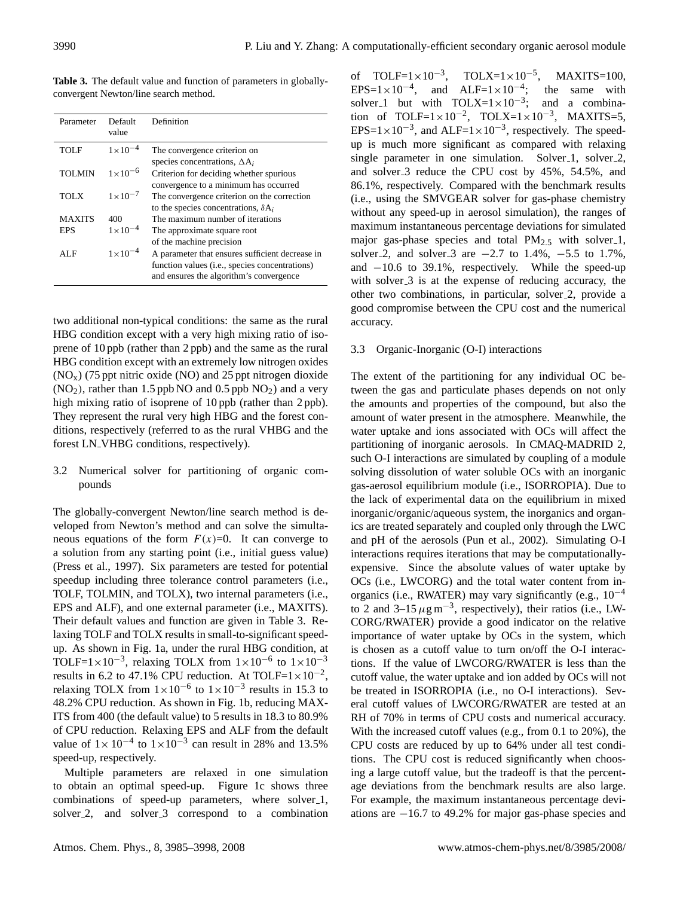**Table 3.** The default value and function of parameters in globallyconvergent Newton/line search method.

| Parameter     | Default<br>value   | Definition                                                                                 |
|---------------|--------------------|--------------------------------------------------------------------------------------------|
| <b>TOLF</b>   | $1 \times 10^{-4}$ | The convergence criterion on<br>species concentrations, $\Delta A_i$                       |
| <b>TOLMIN</b> | $1 \times 10^{-6}$ | Criterion for deciding whether spurious<br>convergence to a minimum has occurred           |
| <b>TOLX</b>   | $1 \times 10^{-7}$ | The convergence criterion on the correction<br>to the species concentrations, $\delta A_i$ |
| <b>MAXITS</b> | 400                | The maximum number of iterations                                                           |
| EPS           | $1 \times 10^{-4}$ | The approximate square root                                                                |
|               |                    | of the machine precision                                                                   |
| AL F          | $1 \times 10^{-4}$ | A parameter that ensures sufficient decrease in                                            |
|               |                    | function values (i.e., species concentrations)<br>and ensures the algorithm's convergence  |

two additional non-typical conditions: the same as the rural HBG condition except with a very high mixing ratio of isoprene of 10 ppb (rather than 2 ppb) and the same as the rural HBG condition except with an extremely low nitrogen oxides  $(NO<sub>x</sub>)$  (75 ppt nitric oxide (NO) and 25 ppt nitrogen dioxide  $(NO<sub>2</sub>)$ , rather than 1.5 ppb NO and 0.5 ppb  $NO<sub>2</sub>$ ) and a very high mixing ratio of isoprene of 10 ppb (rather than 2 ppb). They represent the rural very high HBG and the forest conditions, respectively (referred to as the rural VHBG and the forest LN\_VHBG conditions, respectively).

## 3.2 Numerical solver for partitioning of organic compounds

The globally-convergent Newton/line search method is developed from Newton's method and can solve the simultaneous equations of the form  $F(x)=0$ . It can converge to a solution from any starting point (i.e., initial guess value) (Press et al., 1997). Six parameters are tested for potential speedup including three tolerance control parameters (i.e., TOLF, TOLMIN, and TOLX), two internal parameters (i.e., EPS and ALF), and one external parameter (i.e., MAXITS). Their default values and function are given in Table 3. Relaxing TOLF and TOLX results in small-to-significant speedup. As shown in Fig. 1a, under the rural HBG condition, at TOLF=1×10<sup>-3</sup>, relaxing TOLX from  $1 \times 10^{-6}$  to  $1 \times 10^{-3}$ results in 6.2 to 47.1% CPU reduction. At TOLF= $1 \times 10^{-2}$ , relaxing TOLX from  $1 \times 10^{-6}$  to  $1 \times 10^{-3}$  results in 15.3 to 48.2% CPU reduction. As shown in Fig. 1b, reducing MAX-ITS from 400 (the default value) to 5 results in 18.3 to 80.9% of CPU reduction. Relaxing EPS and ALF from the default value of  $1 \times 10^{-4}$  to  $1 \times 10^{-3}$  can result in 28% and 13.5% speed-up, respectively.

Multiple parameters are relaxed in one simulation to obtain an optimal speed-up. Figure 1c shows three combinations of speed-up parameters, where solver<sub>-1</sub>, solver 2, and solver 3 correspond to a combination

of TOLF= $1 \times 10^{-3}$ , TOLX= $1 \times 10^{-5}$ , MAXITS=100, EPS=1×10<sup>-4</sup>, and ALF=1×10<sup>-4</sup>; the same with solver 1 but with TOLX= $1 \times 10^{-3}$ ; and a combination of TOLF= $1 \times 10^{-2}$ , TOLX= $1 \times 10^{-3}$ , MAXITS=5, EPS= $1 \times 10^{-3}$ , and ALF= $1 \times 10^{-3}$ , respectively. The speedup is much more significant as compared with relaxing single parameter in one simulation. Solver<sub>-1</sub>, solver<sub>-2</sub>, and solver 3 reduce the CPU cost by 45%, 54.5%, and 86.1%, respectively. Compared with the benchmark results (i.e., using the SMVGEAR solver for gas-phase chemistry without any speed-up in aerosol simulation), the ranges of maximum instantaneous percentage deviations for simulated major gas-phase species and total  $PM_{2.5}$  with solver 1, solver 2, and solver 3 are  $-2.7$  to 1.4%,  $-5.5$  to 1.7%, and −10.6 to 39.1%, respectively. While the speed-up with solver 3 is at the expense of reducing accuracy, the other two combinations, in particular, solver 2, provide a good compromise between the CPU cost and the numerical accuracy.

## 3.3 Organic-Inorganic (O-I) interactions

The extent of the partitioning for any individual OC between the gas and particulate phases depends on not only the amounts and properties of the compound, but also the amount of water present in the atmosphere. Meanwhile, the water uptake and ions associated with OCs will affect the partitioning of inorganic aerosols. In CMAQ-MADRID 2, such O-I interactions are simulated by coupling of a module solving dissolution of water soluble OCs with an inorganic gas-aerosol equilibrium module (i.e., ISORROPIA). Due to the lack of experimental data on the equilibrium in mixed inorganic/organic/aqueous system, the inorganics and organics are treated separately and coupled only through the LWC and pH of the aerosols (Pun et al., 2002). Simulating O-I interactions requires iterations that may be computationallyexpensive. Since the absolute values of water uptake by OCs (i.e., LWCORG) and the total water content from inorganics (i.e., RWATER) may vary significantly (e.g.,  $10^{-4}$ ) to 2 and  $3-15 \,\mu g\,\text{m}^{-3}$ , respectively), their ratios (i.e., LW-CORG/RWATER) provide a good indicator on the relative importance of water uptake by OCs in the system, which is chosen as a cutoff value to turn on/off the O-I interactions. If the value of LWCORG/RWATER is less than the cutoff value, the water uptake and ion added by OCs will not be treated in ISORROPIA (i.e., no O-I interactions). Several cutoff values of LWCORG/RWATER are tested at an RH of 70% in terms of CPU costs and numerical accuracy. With the increased cutoff values (e.g., from 0.1 to 20%), the CPU costs are reduced by up to 64% under all test conditions. The CPU cost is reduced significantly when choosing a large cutoff value, but the tradeoff is that the percentage deviations from the benchmark results are also large. For example, the maximum instantaneous percentage deviations are −16.7 to 49.2% for major gas-phase species and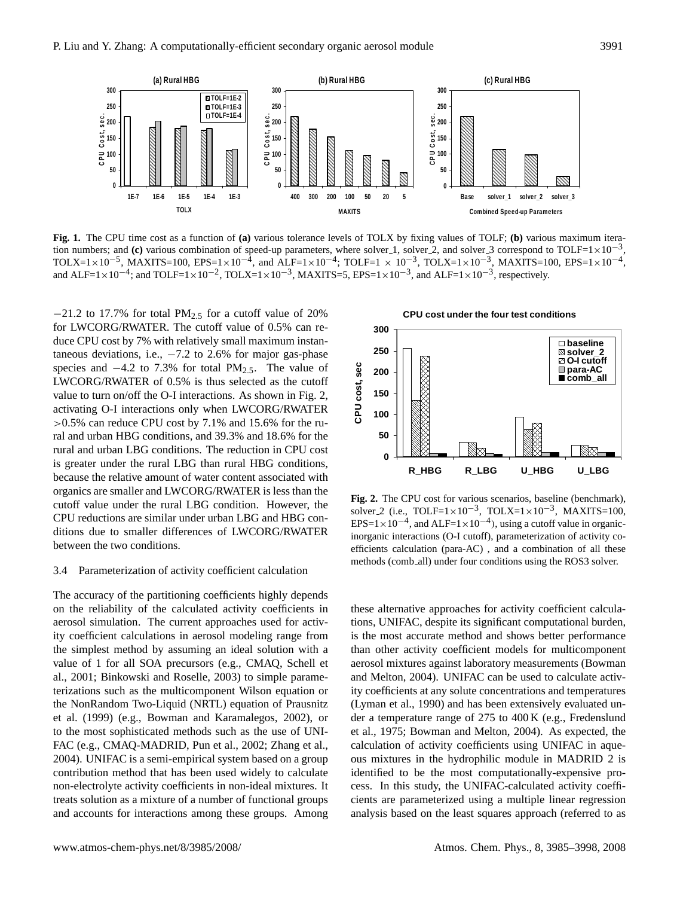

 $F=1\times 10^{-4}$ ; ar **Fig. 1.** The CPU time cost as a function of **(a)** various tolerance levels of TOLX by fixing values of TOLF; **(b)** various maximum iteration numbers; and (c) various combination of speed-up parameters, where solver 1, solver 2, and solver 3 correspond to TOLF=1×10<sup>-3</sup>, TOLX=1×10<sup>-5</sup>, MAXITS=100, EPS=1×10<sup>-4</sup>, and ALF=1×10<sup>-4</sup>; TOLF=1 × 10<sup>-3</sup>, TOLX=1×10<sup>-3</sup>, MAXITS=100, EPS=1×10<sup>-4</sup>, and ALF=1×10<sup>-4</sup>; and TOLF=1×10<sup>-2</sup>, TOLX=1×10<sup>-3</sup>, MAXITS=5, EPS=1×10<sup>-3</sup>, and ALF=1×10<sup>-3</sup>, respectively.

**0** >0.5% can reduce CPU cost by 7.1% and 15.6% for the ru-**50** activating O-I interactions only when LWCORG/RWATER **100** value to turn on/off the O-I interactions. As shown in Fig. 2, species and  $-4.2$  to 7.3% for total PM<sub>2.5</sub>. The value of  $taneous deviations, i.e.,  $-7.2$  to 2.6% for major gas-phase$ for LWCORG/RWATER. The cutoff value of 0.5% can re-**300** −21.2 to 17.7% for total PM2.<sup>5</sup> for a cutoff value of 20% ral and urban HBG conditions, and 39.3% and 18.6% for the  $\blacksquare$ **C**<br>|<br>|<br>|<br>|<br>|<br>| duce CPU cost by 7% with relatively small maximum instan-LWCORG/RWATER of 0.5% is thus selected as the cutoff rural and urban LBG conditions. The reduction in CPU cost is greater under the rural LBG than rural HBG conditions, because the relative amount of water content associated with organics are smaller and LWCORG/RWATER is less than the cutoff value under the rural LBG condition. However, the CPU reductions are similar under urban LBG and HBG conditions due to smaller differences of LWCORG/RWATER between the two conditions.

### 3.4 Parameterization of activity coefficient calculation

The accuracy of the partitioning coefficients highly depends on the reliability of the calculated activity coefficients in aerosol simulation. The current approaches used for activity coefficient calculations in aerosol modeling range from the simplest method by assuming an ideal solution with a value of 1 for all SOA precursors (e.g., CMAQ, Schell et al., 2001; Binkowski and Roselle, 2003) to simple parameterizations such as the multicomponent Wilson equation or the NonRandom Two-Liquid (NRTL) equation of Prausnitz et al. (1999) (e.g., Bowman and Karamalegos, 2002), or to the most sophisticated methods such as the use of UNI-FAC (e.g., CMAQ-MADRID, Pun et al., 2002; Zhang et al., 2004). UNIFAC is a semi-empirical system based on a group contribution method that has been used widely to calculate non-electrolyte activity coefficients in non-ideal mixtures. It treats solution as a mixture of a number of functional groups and accountrive constructions and interactions and interactions and interactions and interactions among the groups. Among an ideal mixtures against laboratory measurements (Bowman value of 1 for all SOA precursors (e.g., C



**Fig. 2.** The CPU cost for various scenarios, baseline (benchmark), solver 2 (i.e., TOLF= $1 \times 10^{-3}$ , TOLX= $1 \times 10^{-3}$ , MAXITS=100, EPS=1×10<sup>-4</sup>, and ALF=1×10<sup>-4</sup>), using a cutoff value in organicinorganic interactions (O-I cutoff), parameterization of activity coefficients calculation (para-AC) , and a combination of all these methods (comb\_all) under four conditions using the ROS3 solver.

calculation of activity coefficients using UNIFAC in aque-<br>aug mintures in the hydrophilic module in MADPID 2 is these alternative approaches for activity coefficient calculations, UNIFAC, despite its significant computational burden, is the most accurate method and shows better performance than other activity coefficient models for multicomponent aerosol mixtures against laboratory measurements (Bowman and Melton, 2004). UNIFAC can be used to calculate activity coefficients at any solute concentrations and temperatures (Lyman et al., 1990) and has been extensively evaluated under a temperature range of 275 to 400 K (e.g., Fredenslund et al., 1975; Bowman and Melton, 2004). As expected, the ous mixtures in the hydrophilic module in MADRID 2 is identified to be the most computationally-expensive process. In this study, the UNIFAC-calculated activity coefficients are parameterized using a multiple linear regression analysis based on the least squares approach (referred to as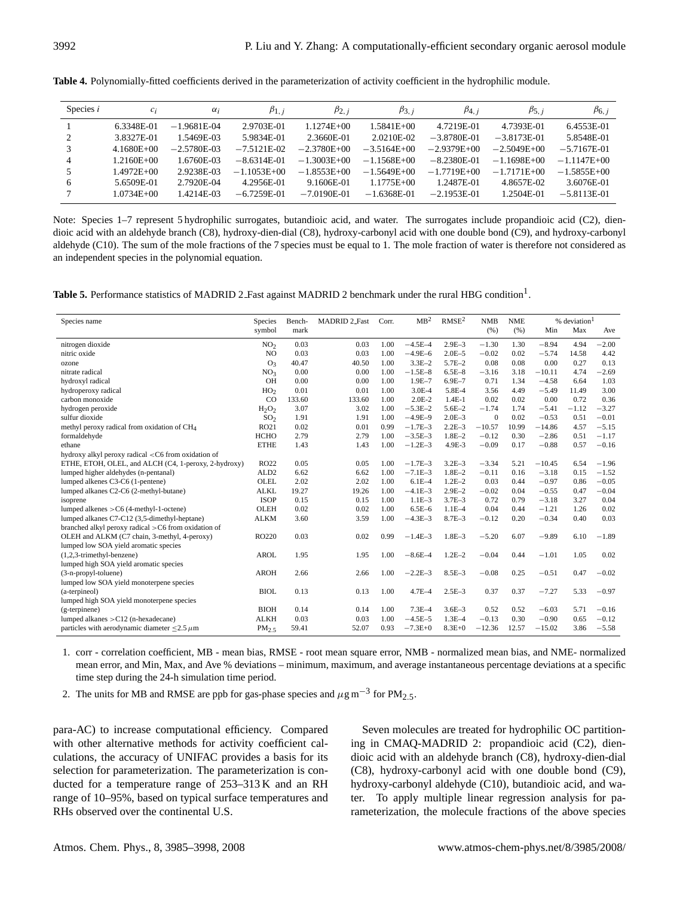| Species $i$ | $c_i$          | $\alpha_i$    | $\beta_{1,i}$ | $\beta_{2, i}$  | $\beta_{3, i}$ | $\beta_{4, i}$ | $\beta_{5, i}$ | $\beta_{6, i}$ |
|-------------|----------------|---------------|---------------|-----------------|----------------|----------------|----------------|----------------|
|             | 6.3348E-01     | $-1.9681E-04$ | 2.9703E-01    | $1.1274E + 00$  | 1.5841E+00     | 4.7219E-01     | 4.7393E-01     | 6.4553E-01     |
| 2           | 3.8327E-01     | 1.5469E-03    | 5.9834E-01    | 2.3660E-01      | 2.0210E-02     | $-3.8780E-01$  | $-3.8173E-01$  | 5.8548E-01     |
| 3           | $4.1680E + 00$ | $-2.5780E-03$ | $-7.5121E-02$ | $-2.3780E + 00$ | $-3.5164E+00$  | $-2.9379E+00$  | $-2.5049E+00$  | $-5.7167E-01$  |
| 4           | 1.2160E+00     | 1.6760E-03    | $-8.6314E-01$ | $-1.3003E+00$   | $-1.1568E+00$  | $-8.2380E-01$  | $-1.1698E+00$  | $-1.1147E+00$  |
| 5           | 1.4972E+00     | 2.9238E-03    | $-1.1053E+00$ | $-1.8553E+00$   | $-1.5649E+00$  | $-1.7719E+00$  | $-1.7171E+00$  | $-1.5855E+00$  |
| 6           | 5.6509E-01     | 2.7920E-04    | 4.2956E-01    | 9.1606E-01      | $1.1775E + 00$ | 1.2487E-01     | 4.8657E-02     | 3.6076E-01     |
|             | $1.0734E + 00$ | 1.4214E-03    | $-6.7259E-01$ | $-7.0190E-01$   | $-1.6368E-01$  | $-2.1953E-01$  | 1.2504E-01     | $-5.8113E-01$  |
|             |                |               |               |                 |                |                |                |                |

**Table 4.** Polynomially-fitted coefficients derived in the parameterization of activity coefficient in the hydrophilic module.

Note: Species 1–7 represent 5 hydrophilic surrogates, butandioic acid, and water. The surrogates include propandioic acid (C2), diendioic acid with an aldehyde branch (C8), hydroxy-dien-dial (C8), hydroxy-carbonyl acid with one double bond (C9), and hydroxy-carbonyl aldehyde (C10). The sum of the mole fractions of the 7 species must be equal to 1. The mole fraction of water is therefore not considered as an independent species in the polynomial equation.

Table 5. Performance statistics of MADRID 2 Fast against MADRID 2 benchmark under the rural HBG condition<sup>1</sup>.

| 1.00<br>$-4.5E - 4$<br>$2.9E - 3$<br>1.30<br>4.94<br>$-2.00$<br>nitrogen dioxide<br>NO <sub>2</sub><br>0.03<br>0.03<br>$-1.30$<br>$-8.94$<br>N <sub>O</sub><br>0.03<br>0.03<br>1.00<br>$-4.9E - 6$<br>$2.0E - 5$<br>$-0.02$<br>0.02<br>$-5.74$<br>4.42<br>nitric oxide<br>14.58<br>$3.3E - 2$<br>0.00<br>0.13<br>40.47<br>40.50<br>1.00<br>$5.7E - 2$<br>0.08<br>0.08<br>0.27<br>O <sub>3</sub><br>ozone<br>$-1.5E-8$<br>$6.5E - 8$<br>4.74<br>$-2.69$<br>NO <sub>3</sub><br>0.00<br>0.00<br>1.00<br>$-3.16$<br>3.18<br>$-10.11$<br>nitrate radical<br>OH<br>0.00<br>$1.9E - 7$<br>$6.9E - 7$<br>0.71<br>1.34<br>$-4.58$<br>1.03<br>0.00<br>1.00<br>6.64<br>hydroxyl radical<br>HO <sub>2</sub><br>0.01<br>0.01<br>$3.0E - 4$<br>5.8E-4<br>$-5.49$<br>3.00<br>hydroperoxy radical<br>1.00<br>3.56<br>4.49<br>11.49<br>carbon monoxide<br>CO<br>$2.0E-2$<br>0.02<br>0.00<br>0.36<br>133.60<br>133.60<br>1.00<br>$1.4E-1$<br>0.02<br>0.72<br>1.00<br>$-5.3E-2$<br>$-1.74$<br>$-5.41$<br>$-1.12$<br>$-3.27$<br>hydrogen peroxide<br>$H_2O_2$<br>3.07<br>3.02<br>$5.6E - 2$<br>1.74<br>sulfur dioxide<br>1.91<br>1.00<br>$-4.9E-9$<br>$2.0E - 3$<br>0.02<br>$-0.53$<br>0.51<br>$-0.01$<br>SO <sub>2</sub><br>1.91<br>$\overline{0}$<br>$-1.7E-3$<br>$-5.15$<br>methyl peroxy radical from oxidation of CH <sub>4</sub><br>RO21<br>0.02<br>0.01<br>0.99<br>$2.2E - 3$<br>$-10.57$<br>10.99<br>$-14.86$<br>4.57<br><b>HCHO</b><br>2.79<br>$-3.5E-3$<br>$1.8E - 2$<br>$-2.86$<br>$-1.17$<br>formaldehyde<br>2.79<br>1.00<br>$-0.12$<br>0.30<br>0.51<br>$-1.2E-3$<br><b>ETHE</b><br>1.43<br>1.43<br>1.00<br>4.9E-3<br>$-0.09$<br>$-0.88$<br>0.57<br>$-0.16$<br>0.17<br>ethane<br>hydroxy alkyl peroxy radical <c6 from="" of<br="" oxidation="">ETHE, ETOH, OLEL, and ALCH (C4, 1-peroxy, 2-hydroxy)<br/>RO22<br/><math>-1.7E-3</math><br/>0.05<br/>0.05<br/>1.00<br/><math>3.2E - 3</math><br/><math>-3.34</math><br/>5.21<br/><math>-10.45</math><br/>6.54<br/><math>-1.96</math><br/>ALD<sub>2</sub><br/>6.62<br/><math>-7.1E-3</math><br/><math>1.8E - 2</math><br/><math>-3.18</math><br/>lumped higher aldehydes (n-pentanal)<br/>6.62<br/>1.00<br/><math>-0.11</math><br/>0.16<br/>0.15<br/><math>-1.52</math><br/><b>OLEL</b><br/><math>6.1E - 4</math><br/><math>1.2E - 2</math><br/><math>-0.97</math><br/><math>-0.05</math><br/>lumped alkenes C3-C6 (1-pentene)<br/>2.02<br/>2.02<br/>1.00<br/>0.03<br/>0.44<br/>0.86<br/><math>-4.1E-3</math><br/><math>-0.04</math><br/>lumped alkanes C2-C6 (2-methyl-butane)<br/><b>ALKL</b><br/>19.27<br/>19.26<br/>1.00<br/><math>2.9E - 2</math><br/><math>-0.02</math><br/>0.04<br/><math>-0.55</math><br/>0.47<br/><b>ISOP</b><br/><math>1.1E-3</math><br/><math>3.7E - 3</math><br/><math>-3.18</math><br/>0.15<br/>0.15<br/>1.00<br/>0.72<br/>0.79<br/>3.27<br/>0.04<br/>isoprene<br/><b>OLEH</b><br/>0.02<br/>0.02<br/>1.00<br/><math>6.5E - 6</math><br/><math>1.1E-4</math><br/>0.04<br/><math>-1.21</math><br/>0.02<br/>lumped alkenes <math>&gt;C6</math> (4-methyl-1-octene)<br/>0.44<br/>1.26<br/><math>-0.34</math><br/>lumped alkanes C7-C12 (3,5-dimethyl-heptane)<br/><b>ALKM</b><br/>3.60<br/>3.59<br/>1.00<br/><math>-4.3E-3</math><br/><math>8.7E - 3</math><br/><math>-0.12</math><br/>0.20<br/>0.40<br/>0.03<br/>branched alkyl peroxy radical &gt;C6 from oxidation of<br/>OLEH and ALKM (C7 chain, 3-methyl, 4-peroxy)<br/>0.03<br/>0.02<br/>0.99<br/><math>-1.4E-3</math><br/><math>1.8E - 3</math><br/><math>-5.20</math><br/>6.07<br/><math>-9.89</math><br/>6.10<br/>RO220<br/><math>-1.89</math><br/>lumped low SOA yield aromatic species<br/><math>-8.6E - 4</math><br/><math>1.2E - 2</math><br/><math>(1,2,3</math>-trimethyl-benzene)<br/><b>AROL</b><br/>1.95<br/>1.95<br/>1.00<br/><math>-0.04</math><br/>0.44<br/><math>-1.01</math><br/>1.05<br/>0.02<br/>lumped high SOA yield aromatic species<br/><b>AROH</b><br/>1.00<br/><math>-2.2E-3</math><br/><math>8.5E - 3</math><br/><math>-0.08</math><br/>0.25<br/><math>-0.51</math><br/>0.47<br/><math>-0.02</math><br/>(3-n-propyl-toluene)<br/>2.66<br/>2.66<br/>lumped low SOA yield monoterpene species<br/><b>BIOL</b><br/>1.00<br/><math>4.7E - 4</math><br/><math>2.5E-3</math><br/>0.37<br/><math>-7.27</math><br/>0.13<br/>0.13<br/>0.37<br/>5.33<br/><math>-0.97</math><br/>(a-terpineol)<br/>lumped high SOA yield monoterpene species<br/><b>BIOH</b><br/><math>7.3E-4</math><br/><math>3.6E - 3</math><br/>0.14<br/>0.14<br/>1.00<br/>0.52<br/>0.52<br/><math>-6.03</math><br/>5.71<br/><math>-0.16</math><br/>(g-terpinene)<br/>0.03<br/><math>-4.5E-5</math><br/><math>-0.12</math><br/>lumped alkanes <math>&gt;C12</math> (n-hexadecane)<br/><b>ALKH</b><br/>0.03<br/>1.00<br/><math>1.3E - 4</math><br/><math>-0.13</math><br/>0.30<br/><math>-0.90</math><br/>0.65<br/>0.93<br/><math>-7.3E + 0</math><br/><math>8.3E + 0</math><br/><math>-12.36</math><br/>12.57<br/><math>-5.58</math><br/>particles with aerodynamic diameter <math>\leq</math>2.5 <math>\mu</math>m<br/>52.07<br/><math>-15.02</math><br/>3.86<br/><math>PM_{2.5}</math><br/>59.41</c6> | Species name |        | Bench- | <b>MADRID 2_Fast</b> | Corr. | MB <sup>2</sup> | RMSE <sup>2</sup> | <b>NMB</b> | <b>NME</b> |     | % deviation <sup>1</sup> |     |
|-----------------------------------------------------------------------------------------------------------------------------------------------------------------------------------------------------------------------------------------------------------------------------------------------------------------------------------------------------------------------------------------------------------------------------------------------------------------------------------------------------------------------------------------------------------------------------------------------------------------------------------------------------------------------------------------------------------------------------------------------------------------------------------------------------------------------------------------------------------------------------------------------------------------------------------------------------------------------------------------------------------------------------------------------------------------------------------------------------------------------------------------------------------------------------------------------------------------------------------------------------------------------------------------------------------------------------------------------------------------------------------------------------------------------------------------------------------------------------------------------------------------------------------------------------------------------------------------------------------------------------------------------------------------------------------------------------------------------------------------------------------------------------------------------------------------------------------------------------------------------------------------------------------------------------------------------------------------------------------------------------------------------------------------------------------------------------------------------------------------------------------------------------------------------------------------------------------------------------------------------------------------------------------------------------------------------------------------------------------------------------------------------------------------------------------------------------------------------------------------------------------------------------------------------------------------------------------------------------------------------------------------------------------------------------------------------------------------------------------------------------------------------------------------------------------------------------------------------------------------------------------------------------------------------------------------------------------------------------------------------------------------------------------------------------------------------------------------------------------------------------------------------------------------------------------------------------------------------------------------------------------------------------------------------------------------------------------------------------------------------------------------------------------------------------------------------------------------------------------------------------------------------------------------------------------------------------------------------------------------------------------------------------------------------------------------------------------------------------------------------------------------------------------------------------------------------------------------------------------------------------------------------------------------------------------------------------------------------------------------------------------------------------------------------------------------------------------------------------------------------------------------------------------------------------------------------------------------------------------------------------------------------------------------------------------------------------------------------------------------------------------------------------------------------------------------------------------------------------------------------------------------------------------------------------------------------------------------------------------------------------------------------------------------------------------------------------------------------------------------------------------------------------------------------------------------------------------------------------------------------------------------------------------------------------------------------------------------------------------------------------------------------------------------------------------------------------------------------------------------|--------------|--------|--------|----------------------|-------|-----------------|-------------------|------------|------------|-----|--------------------------|-----|
|                                                                                                                                                                                                                                                                                                                                                                                                                                                                                                                                                                                                                                                                                                                                                                                                                                                                                                                                                                                                                                                                                                                                                                                                                                                                                                                                                                                                                                                                                                                                                                                                                                                                                                                                                                                                                                                                                                                                                                                                                                                                                                                                                                                                                                                                                                                                                                                                                                                                                                                                                                                                                                                                                                                                                                                                                                                                                                                                                                                                                                                                                                                                                                                                                                                                                                                                                                                                                                                                                                                                                                                                                                                                                                                                                                                                                                                                                                                                                                                                                                                                                                                                                                                                                                                                                                                                                                                                                                                                                                                                                                                                                                                                                                                                                                                                                                                                                                                                                                                                                                                                                                                 |              | symbol | mark   |                      |       |                 |                   | (% )       | (% )       | Min | Max                      | Ave |
|                                                                                                                                                                                                                                                                                                                                                                                                                                                                                                                                                                                                                                                                                                                                                                                                                                                                                                                                                                                                                                                                                                                                                                                                                                                                                                                                                                                                                                                                                                                                                                                                                                                                                                                                                                                                                                                                                                                                                                                                                                                                                                                                                                                                                                                                                                                                                                                                                                                                                                                                                                                                                                                                                                                                                                                                                                                                                                                                                                                                                                                                                                                                                                                                                                                                                                                                                                                                                                                                                                                                                                                                                                                                                                                                                                                                                                                                                                                                                                                                                                                                                                                                                                                                                                                                                                                                                                                                                                                                                                                                                                                                                                                                                                                                                                                                                                                                                                                                                                                                                                                                                                                 |              |        |        |                      |       |                 |                   |            |            |     |                          |     |
|                                                                                                                                                                                                                                                                                                                                                                                                                                                                                                                                                                                                                                                                                                                                                                                                                                                                                                                                                                                                                                                                                                                                                                                                                                                                                                                                                                                                                                                                                                                                                                                                                                                                                                                                                                                                                                                                                                                                                                                                                                                                                                                                                                                                                                                                                                                                                                                                                                                                                                                                                                                                                                                                                                                                                                                                                                                                                                                                                                                                                                                                                                                                                                                                                                                                                                                                                                                                                                                                                                                                                                                                                                                                                                                                                                                                                                                                                                                                                                                                                                                                                                                                                                                                                                                                                                                                                                                                                                                                                                                                                                                                                                                                                                                                                                                                                                                                                                                                                                                                                                                                                                                 |              |        |        |                      |       |                 |                   |            |            |     |                          |     |
|                                                                                                                                                                                                                                                                                                                                                                                                                                                                                                                                                                                                                                                                                                                                                                                                                                                                                                                                                                                                                                                                                                                                                                                                                                                                                                                                                                                                                                                                                                                                                                                                                                                                                                                                                                                                                                                                                                                                                                                                                                                                                                                                                                                                                                                                                                                                                                                                                                                                                                                                                                                                                                                                                                                                                                                                                                                                                                                                                                                                                                                                                                                                                                                                                                                                                                                                                                                                                                                                                                                                                                                                                                                                                                                                                                                                                                                                                                                                                                                                                                                                                                                                                                                                                                                                                                                                                                                                                                                                                                                                                                                                                                                                                                                                                                                                                                                                                                                                                                                                                                                                                                                 |              |        |        |                      |       |                 |                   |            |            |     |                          |     |
|                                                                                                                                                                                                                                                                                                                                                                                                                                                                                                                                                                                                                                                                                                                                                                                                                                                                                                                                                                                                                                                                                                                                                                                                                                                                                                                                                                                                                                                                                                                                                                                                                                                                                                                                                                                                                                                                                                                                                                                                                                                                                                                                                                                                                                                                                                                                                                                                                                                                                                                                                                                                                                                                                                                                                                                                                                                                                                                                                                                                                                                                                                                                                                                                                                                                                                                                                                                                                                                                                                                                                                                                                                                                                                                                                                                                                                                                                                                                                                                                                                                                                                                                                                                                                                                                                                                                                                                                                                                                                                                                                                                                                                                                                                                                                                                                                                                                                                                                                                                                                                                                                                                 |              |        |        |                      |       |                 |                   |            |            |     |                          |     |
|                                                                                                                                                                                                                                                                                                                                                                                                                                                                                                                                                                                                                                                                                                                                                                                                                                                                                                                                                                                                                                                                                                                                                                                                                                                                                                                                                                                                                                                                                                                                                                                                                                                                                                                                                                                                                                                                                                                                                                                                                                                                                                                                                                                                                                                                                                                                                                                                                                                                                                                                                                                                                                                                                                                                                                                                                                                                                                                                                                                                                                                                                                                                                                                                                                                                                                                                                                                                                                                                                                                                                                                                                                                                                                                                                                                                                                                                                                                                                                                                                                                                                                                                                                                                                                                                                                                                                                                                                                                                                                                                                                                                                                                                                                                                                                                                                                                                                                                                                                                                                                                                                                                 |              |        |        |                      |       |                 |                   |            |            |     |                          |     |
|                                                                                                                                                                                                                                                                                                                                                                                                                                                                                                                                                                                                                                                                                                                                                                                                                                                                                                                                                                                                                                                                                                                                                                                                                                                                                                                                                                                                                                                                                                                                                                                                                                                                                                                                                                                                                                                                                                                                                                                                                                                                                                                                                                                                                                                                                                                                                                                                                                                                                                                                                                                                                                                                                                                                                                                                                                                                                                                                                                                                                                                                                                                                                                                                                                                                                                                                                                                                                                                                                                                                                                                                                                                                                                                                                                                                                                                                                                                                                                                                                                                                                                                                                                                                                                                                                                                                                                                                                                                                                                                                                                                                                                                                                                                                                                                                                                                                                                                                                                                                                                                                                                                 |              |        |        |                      |       |                 |                   |            |            |     |                          |     |
|                                                                                                                                                                                                                                                                                                                                                                                                                                                                                                                                                                                                                                                                                                                                                                                                                                                                                                                                                                                                                                                                                                                                                                                                                                                                                                                                                                                                                                                                                                                                                                                                                                                                                                                                                                                                                                                                                                                                                                                                                                                                                                                                                                                                                                                                                                                                                                                                                                                                                                                                                                                                                                                                                                                                                                                                                                                                                                                                                                                                                                                                                                                                                                                                                                                                                                                                                                                                                                                                                                                                                                                                                                                                                                                                                                                                                                                                                                                                                                                                                                                                                                                                                                                                                                                                                                                                                                                                                                                                                                                                                                                                                                                                                                                                                                                                                                                                                                                                                                                                                                                                                                                 |              |        |        |                      |       |                 |                   |            |            |     |                          |     |
|                                                                                                                                                                                                                                                                                                                                                                                                                                                                                                                                                                                                                                                                                                                                                                                                                                                                                                                                                                                                                                                                                                                                                                                                                                                                                                                                                                                                                                                                                                                                                                                                                                                                                                                                                                                                                                                                                                                                                                                                                                                                                                                                                                                                                                                                                                                                                                                                                                                                                                                                                                                                                                                                                                                                                                                                                                                                                                                                                                                                                                                                                                                                                                                                                                                                                                                                                                                                                                                                                                                                                                                                                                                                                                                                                                                                                                                                                                                                                                                                                                                                                                                                                                                                                                                                                                                                                                                                                                                                                                                                                                                                                                                                                                                                                                                                                                                                                                                                                                                                                                                                                                                 |              |        |        |                      |       |                 |                   |            |            |     |                          |     |
|                                                                                                                                                                                                                                                                                                                                                                                                                                                                                                                                                                                                                                                                                                                                                                                                                                                                                                                                                                                                                                                                                                                                                                                                                                                                                                                                                                                                                                                                                                                                                                                                                                                                                                                                                                                                                                                                                                                                                                                                                                                                                                                                                                                                                                                                                                                                                                                                                                                                                                                                                                                                                                                                                                                                                                                                                                                                                                                                                                                                                                                                                                                                                                                                                                                                                                                                                                                                                                                                                                                                                                                                                                                                                                                                                                                                                                                                                                                                                                                                                                                                                                                                                                                                                                                                                                                                                                                                                                                                                                                                                                                                                                                                                                                                                                                                                                                                                                                                                                                                                                                                                                                 |              |        |        |                      |       |                 |                   |            |            |     |                          |     |
|                                                                                                                                                                                                                                                                                                                                                                                                                                                                                                                                                                                                                                                                                                                                                                                                                                                                                                                                                                                                                                                                                                                                                                                                                                                                                                                                                                                                                                                                                                                                                                                                                                                                                                                                                                                                                                                                                                                                                                                                                                                                                                                                                                                                                                                                                                                                                                                                                                                                                                                                                                                                                                                                                                                                                                                                                                                                                                                                                                                                                                                                                                                                                                                                                                                                                                                                                                                                                                                                                                                                                                                                                                                                                                                                                                                                                                                                                                                                                                                                                                                                                                                                                                                                                                                                                                                                                                                                                                                                                                                                                                                                                                                                                                                                                                                                                                                                                                                                                                                                                                                                                                                 |              |        |        |                      |       |                 |                   |            |            |     |                          |     |
|                                                                                                                                                                                                                                                                                                                                                                                                                                                                                                                                                                                                                                                                                                                                                                                                                                                                                                                                                                                                                                                                                                                                                                                                                                                                                                                                                                                                                                                                                                                                                                                                                                                                                                                                                                                                                                                                                                                                                                                                                                                                                                                                                                                                                                                                                                                                                                                                                                                                                                                                                                                                                                                                                                                                                                                                                                                                                                                                                                                                                                                                                                                                                                                                                                                                                                                                                                                                                                                                                                                                                                                                                                                                                                                                                                                                                                                                                                                                                                                                                                                                                                                                                                                                                                                                                                                                                                                                                                                                                                                                                                                                                                                                                                                                                                                                                                                                                                                                                                                                                                                                                                                 |              |        |        |                      |       |                 |                   |            |            |     |                          |     |
|                                                                                                                                                                                                                                                                                                                                                                                                                                                                                                                                                                                                                                                                                                                                                                                                                                                                                                                                                                                                                                                                                                                                                                                                                                                                                                                                                                                                                                                                                                                                                                                                                                                                                                                                                                                                                                                                                                                                                                                                                                                                                                                                                                                                                                                                                                                                                                                                                                                                                                                                                                                                                                                                                                                                                                                                                                                                                                                                                                                                                                                                                                                                                                                                                                                                                                                                                                                                                                                                                                                                                                                                                                                                                                                                                                                                                                                                                                                                                                                                                                                                                                                                                                                                                                                                                                                                                                                                                                                                                                                                                                                                                                                                                                                                                                                                                                                                                                                                                                                                                                                                                                                 |              |        |        |                      |       |                 |                   |            |            |     |                          |     |
|                                                                                                                                                                                                                                                                                                                                                                                                                                                                                                                                                                                                                                                                                                                                                                                                                                                                                                                                                                                                                                                                                                                                                                                                                                                                                                                                                                                                                                                                                                                                                                                                                                                                                                                                                                                                                                                                                                                                                                                                                                                                                                                                                                                                                                                                                                                                                                                                                                                                                                                                                                                                                                                                                                                                                                                                                                                                                                                                                                                                                                                                                                                                                                                                                                                                                                                                                                                                                                                                                                                                                                                                                                                                                                                                                                                                                                                                                                                                                                                                                                                                                                                                                                                                                                                                                                                                                                                                                                                                                                                                                                                                                                                                                                                                                                                                                                                                                                                                                                                                                                                                                                                 |              |        |        |                      |       |                 |                   |            |            |     |                          |     |
|                                                                                                                                                                                                                                                                                                                                                                                                                                                                                                                                                                                                                                                                                                                                                                                                                                                                                                                                                                                                                                                                                                                                                                                                                                                                                                                                                                                                                                                                                                                                                                                                                                                                                                                                                                                                                                                                                                                                                                                                                                                                                                                                                                                                                                                                                                                                                                                                                                                                                                                                                                                                                                                                                                                                                                                                                                                                                                                                                                                                                                                                                                                                                                                                                                                                                                                                                                                                                                                                                                                                                                                                                                                                                                                                                                                                                                                                                                                                                                                                                                                                                                                                                                                                                                                                                                                                                                                                                                                                                                                                                                                                                                                                                                                                                                                                                                                                                                                                                                                                                                                                                                                 |              |        |        |                      |       |                 |                   |            |            |     |                          |     |
|                                                                                                                                                                                                                                                                                                                                                                                                                                                                                                                                                                                                                                                                                                                                                                                                                                                                                                                                                                                                                                                                                                                                                                                                                                                                                                                                                                                                                                                                                                                                                                                                                                                                                                                                                                                                                                                                                                                                                                                                                                                                                                                                                                                                                                                                                                                                                                                                                                                                                                                                                                                                                                                                                                                                                                                                                                                                                                                                                                                                                                                                                                                                                                                                                                                                                                                                                                                                                                                                                                                                                                                                                                                                                                                                                                                                                                                                                                                                                                                                                                                                                                                                                                                                                                                                                                                                                                                                                                                                                                                                                                                                                                                                                                                                                                                                                                                                                                                                                                                                                                                                                                                 |              |        |        |                      |       |                 |                   |            |            |     |                          |     |
|                                                                                                                                                                                                                                                                                                                                                                                                                                                                                                                                                                                                                                                                                                                                                                                                                                                                                                                                                                                                                                                                                                                                                                                                                                                                                                                                                                                                                                                                                                                                                                                                                                                                                                                                                                                                                                                                                                                                                                                                                                                                                                                                                                                                                                                                                                                                                                                                                                                                                                                                                                                                                                                                                                                                                                                                                                                                                                                                                                                                                                                                                                                                                                                                                                                                                                                                                                                                                                                                                                                                                                                                                                                                                                                                                                                                                                                                                                                                                                                                                                                                                                                                                                                                                                                                                                                                                                                                                                                                                                                                                                                                                                                                                                                                                                                                                                                                                                                                                                                                                                                                                                                 |              |        |        |                      |       |                 |                   |            |            |     |                          |     |
|                                                                                                                                                                                                                                                                                                                                                                                                                                                                                                                                                                                                                                                                                                                                                                                                                                                                                                                                                                                                                                                                                                                                                                                                                                                                                                                                                                                                                                                                                                                                                                                                                                                                                                                                                                                                                                                                                                                                                                                                                                                                                                                                                                                                                                                                                                                                                                                                                                                                                                                                                                                                                                                                                                                                                                                                                                                                                                                                                                                                                                                                                                                                                                                                                                                                                                                                                                                                                                                                                                                                                                                                                                                                                                                                                                                                                                                                                                                                                                                                                                                                                                                                                                                                                                                                                                                                                                                                                                                                                                                                                                                                                                                                                                                                                                                                                                                                                                                                                                                                                                                                                                                 |              |        |        |                      |       |                 |                   |            |            |     |                          |     |
|                                                                                                                                                                                                                                                                                                                                                                                                                                                                                                                                                                                                                                                                                                                                                                                                                                                                                                                                                                                                                                                                                                                                                                                                                                                                                                                                                                                                                                                                                                                                                                                                                                                                                                                                                                                                                                                                                                                                                                                                                                                                                                                                                                                                                                                                                                                                                                                                                                                                                                                                                                                                                                                                                                                                                                                                                                                                                                                                                                                                                                                                                                                                                                                                                                                                                                                                                                                                                                                                                                                                                                                                                                                                                                                                                                                                                                                                                                                                                                                                                                                                                                                                                                                                                                                                                                                                                                                                                                                                                                                                                                                                                                                                                                                                                                                                                                                                                                                                                                                                                                                                                                                 |              |        |        |                      |       |                 |                   |            |            |     |                          |     |
|                                                                                                                                                                                                                                                                                                                                                                                                                                                                                                                                                                                                                                                                                                                                                                                                                                                                                                                                                                                                                                                                                                                                                                                                                                                                                                                                                                                                                                                                                                                                                                                                                                                                                                                                                                                                                                                                                                                                                                                                                                                                                                                                                                                                                                                                                                                                                                                                                                                                                                                                                                                                                                                                                                                                                                                                                                                                                                                                                                                                                                                                                                                                                                                                                                                                                                                                                                                                                                                                                                                                                                                                                                                                                                                                                                                                                                                                                                                                                                                                                                                                                                                                                                                                                                                                                                                                                                                                                                                                                                                                                                                                                                                                                                                                                                                                                                                                                                                                                                                                                                                                                                                 |              |        |        |                      |       |                 |                   |            |            |     |                          |     |
|                                                                                                                                                                                                                                                                                                                                                                                                                                                                                                                                                                                                                                                                                                                                                                                                                                                                                                                                                                                                                                                                                                                                                                                                                                                                                                                                                                                                                                                                                                                                                                                                                                                                                                                                                                                                                                                                                                                                                                                                                                                                                                                                                                                                                                                                                                                                                                                                                                                                                                                                                                                                                                                                                                                                                                                                                                                                                                                                                                                                                                                                                                                                                                                                                                                                                                                                                                                                                                                                                                                                                                                                                                                                                                                                                                                                                                                                                                                                                                                                                                                                                                                                                                                                                                                                                                                                                                                                                                                                                                                                                                                                                                                                                                                                                                                                                                                                                                                                                                                                                                                                                                                 |              |        |        |                      |       |                 |                   |            |            |     |                          |     |
|                                                                                                                                                                                                                                                                                                                                                                                                                                                                                                                                                                                                                                                                                                                                                                                                                                                                                                                                                                                                                                                                                                                                                                                                                                                                                                                                                                                                                                                                                                                                                                                                                                                                                                                                                                                                                                                                                                                                                                                                                                                                                                                                                                                                                                                                                                                                                                                                                                                                                                                                                                                                                                                                                                                                                                                                                                                                                                                                                                                                                                                                                                                                                                                                                                                                                                                                                                                                                                                                                                                                                                                                                                                                                                                                                                                                                                                                                                                                                                                                                                                                                                                                                                                                                                                                                                                                                                                                                                                                                                                                                                                                                                                                                                                                                                                                                                                                                                                                                                                                                                                                                                                 |              |        |        |                      |       |                 |                   |            |            |     |                          |     |
|                                                                                                                                                                                                                                                                                                                                                                                                                                                                                                                                                                                                                                                                                                                                                                                                                                                                                                                                                                                                                                                                                                                                                                                                                                                                                                                                                                                                                                                                                                                                                                                                                                                                                                                                                                                                                                                                                                                                                                                                                                                                                                                                                                                                                                                                                                                                                                                                                                                                                                                                                                                                                                                                                                                                                                                                                                                                                                                                                                                                                                                                                                                                                                                                                                                                                                                                                                                                                                                                                                                                                                                                                                                                                                                                                                                                                                                                                                                                                                                                                                                                                                                                                                                                                                                                                                                                                                                                                                                                                                                                                                                                                                                                                                                                                                                                                                                                                                                                                                                                                                                                                                                 |              |        |        |                      |       |                 |                   |            |            |     |                          |     |
|                                                                                                                                                                                                                                                                                                                                                                                                                                                                                                                                                                                                                                                                                                                                                                                                                                                                                                                                                                                                                                                                                                                                                                                                                                                                                                                                                                                                                                                                                                                                                                                                                                                                                                                                                                                                                                                                                                                                                                                                                                                                                                                                                                                                                                                                                                                                                                                                                                                                                                                                                                                                                                                                                                                                                                                                                                                                                                                                                                                                                                                                                                                                                                                                                                                                                                                                                                                                                                                                                                                                                                                                                                                                                                                                                                                                                                                                                                                                                                                                                                                                                                                                                                                                                                                                                                                                                                                                                                                                                                                                                                                                                                                                                                                                                                                                                                                                                                                                                                                                                                                                                                                 |              |        |        |                      |       |                 |                   |            |            |     |                          |     |
|                                                                                                                                                                                                                                                                                                                                                                                                                                                                                                                                                                                                                                                                                                                                                                                                                                                                                                                                                                                                                                                                                                                                                                                                                                                                                                                                                                                                                                                                                                                                                                                                                                                                                                                                                                                                                                                                                                                                                                                                                                                                                                                                                                                                                                                                                                                                                                                                                                                                                                                                                                                                                                                                                                                                                                                                                                                                                                                                                                                                                                                                                                                                                                                                                                                                                                                                                                                                                                                                                                                                                                                                                                                                                                                                                                                                                                                                                                                                                                                                                                                                                                                                                                                                                                                                                                                                                                                                                                                                                                                                                                                                                                                                                                                                                                                                                                                                                                                                                                                                                                                                                                                 |              |        |        |                      |       |                 |                   |            |            |     |                          |     |
|                                                                                                                                                                                                                                                                                                                                                                                                                                                                                                                                                                                                                                                                                                                                                                                                                                                                                                                                                                                                                                                                                                                                                                                                                                                                                                                                                                                                                                                                                                                                                                                                                                                                                                                                                                                                                                                                                                                                                                                                                                                                                                                                                                                                                                                                                                                                                                                                                                                                                                                                                                                                                                                                                                                                                                                                                                                                                                                                                                                                                                                                                                                                                                                                                                                                                                                                                                                                                                                                                                                                                                                                                                                                                                                                                                                                                                                                                                                                                                                                                                                                                                                                                                                                                                                                                                                                                                                                                                                                                                                                                                                                                                                                                                                                                                                                                                                                                                                                                                                                                                                                                                                 |              |        |        |                      |       |                 |                   |            |            |     |                          |     |
|                                                                                                                                                                                                                                                                                                                                                                                                                                                                                                                                                                                                                                                                                                                                                                                                                                                                                                                                                                                                                                                                                                                                                                                                                                                                                                                                                                                                                                                                                                                                                                                                                                                                                                                                                                                                                                                                                                                                                                                                                                                                                                                                                                                                                                                                                                                                                                                                                                                                                                                                                                                                                                                                                                                                                                                                                                                                                                                                                                                                                                                                                                                                                                                                                                                                                                                                                                                                                                                                                                                                                                                                                                                                                                                                                                                                                                                                                                                                                                                                                                                                                                                                                                                                                                                                                                                                                                                                                                                                                                                                                                                                                                                                                                                                                                                                                                                                                                                                                                                                                                                                                                                 |              |        |        |                      |       |                 |                   |            |            |     |                          |     |
|                                                                                                                                                                                                                                                                                                                                                                                                                                                                                                                                                                                                                                                                                                                                                                                                                                                                                                                                                                                                                                                                                                                                                                                                                                                                                                                                                                                                                                                                                                                                                                                                                                                                                                                                                                                                                                                                                                                                                                                                                                                                                                                                                                                                                                                                                                                                                                                                                                                                                                                                                                                                                                                                                                                                                                                                                                                                                                                                                                                                                                                                                                                                                                                                                                                                                                                                                                                                                                                                                                                                                                                                                                                                                                                                                                                                                                                                                                                                                                                                                                                                                                                                                                                                                                                                                                                                                                                                                                                                                                                                                                                                                                                                                                                                                                                                                                                                                                                                                                                                                                                                                                                 |              |        |        |                      |       |                 |                   |            |            |     |                          |     |
|                                                                                                                                                                                                                                                                                                                                                                                                                                                                                                                                                                                                                                                                                                                                                                                                                                                                                                                                                                                                                                                                                                                                                                                                                                                                                                                                                                                                                                                                                                                                                                                                                                                                                                                                                                                                                                                                                                                                                                                                                                                                                                                                                                                                                                                                                                                                                                                                                                                                                                                                                                                                                                                                                                                                                                                                                                                                                                                                                                                                                                                                                                                                                                                                                                                                                                                                                                                                                                                                                                                                                                                                                                                                                                                                                                                                                                                                                                                                                                                                                                                                                                                                                                                                                                                                                                                                                                                                                                                                                                                                                                                                                                                                                                                                                                                                                                                                                                                                                                                                                                                                                                                 |              |        |        |                      |       |                 |                   |            |            |     |                          |     |
|                                                                                                                                                                                                                                                                                                                                                                                                                                                                                                                                                                                                                                                                                                                                                                                                                                                                                                                                                                                                                                                                                                                                                                                                                                                                                                                                                                                                                                                                                                                                                                                                                                                                                                                                                                                                                                                                                                                                                                                                                                                                                                                                                                                                                                                                                                                                                                                                                                                                                                                                                                                                                                                                                                                                                                                                                                                                                                                                                                                                                                                                                                                                                                                                                                                                                                                                                                                                                                                                                                                                                                                                                                                                                                                                                                                                                                                                                                                                                                                                                                                                                                                                                                                                                                                                                                                                                                                                                                                                                                                                                                                                                                                                                                                                                                                                                                                                                                                                                                                                                                                                                                                 |              |        |        |                      |       |                 |                   |            |            |     |                          |     |
|                                                                                                                                                                                                                                                                                                                                                                                                                                                                                                                                                                                                                                                                                                                                                                                                                                                                                                                                                                                                                                                                                                                                                                                                                                                                                                                                                                                                                                                                                                                                                                                                                                                                                                                                                                                                                                                                                                                                                                                                                                                                                                                                                                                                                                                                                                                                                                                                                                                                                                                                                                                                                                                                                                                                                                                                                                                                                                                                                                                                                                                                                                                                                                                                                                                                                                                                                                                                                                                                                                                                                                                                                                                                                                                                                                                                                                                                                                                                                                                                                                                                                                                                                                                                                                                                                                                                                                                                                                                                                                                                                                                                                                                                                                                                                                                                                                                                                                                                                                                                                                                                                                                 |              |        |        |                      |       |                 |                   |            |            |     |                          |     |
|                                                                                                                                                                                                                                                                                                                                                                                                                                                                                                                                                                                                                                                                                                                                                                                                                                                                                                                                                                                                                                                                                                                                                                                                                                                                                                                                                                                                                                                                                                                                                                                                                                                                                                                                                                                                                                                                                                                                                                                                                                                                                                                                                                                                                                                                                                                                                                                                                                                                                                                                                                                                                                                                                                                                                                                                                                                                                                                                                                                                                                                                                                                                                                                                                                                                                                                                                                                                                                                                                                                                                                                                                                                                                                                                                                                                                                                                                                                                                                                                                                                                                                                                                                                                                                                                                                                                                                                                                                                                                                                                                                                                                                                                                                                                                                                                                                                                                                                                                                                                                                                                                                                 |              |        |        |                      |       |                 |                   |            |            |     |                          |     |
|                                                                                                                                                                                                                                                                                                                                                                                                                                                                                                                                                                                                                                                                                                                                                                                                                                                                                                                                                                                                                                                                                                                                                                                                                                                                                                                                                                                                                                                                                                                                                                                                                                                                                                                                                                                                                                                                                                                                                                                                                                                                                                                                                                                                                                                                                                                                                                                                                                                                                                                                                                                                                                                                                                                                                                                                                                                                                                                                                                                                                                                                                                                                                                                                                                                                                                                                                                                                                                                                                                                                                                                                                                                                                                                                                                                                                                                                                                                                                                                                                                                                                                                                                                                                                                                                                                                                                                                                                                                                                                                                                                                                                                                                                                                                                                                                                                                                                                                                                                                                                                                                                                                 |              |        |        |                      |       |                 |                   |            |            |     |                          |     |

1. corr - correlation coefficient, MB - mean bias, RMSE - root mean square error, NMB - normalized mean bias, and NME- normalized mean error, and Min, Max, and Ave % deviations – minimum, maximum, and average instantaneous percentage deviations at a specific time step during the 24-h simulation time period.

2. The units for MB and RMSE are ppb for gas-phase species and  $\mu$ g m<sup>-3</sup> for PM<sub>2.5</sub>.

para-AC) to increase computational efficiency. Compared with other alternative methods for activity coefficient calculations, the accuracy of UNIFAC provides a basis for its selection for parameterization. The parameterization is conducted for a temperature range of 253–313 K and an RH range of 10–95%, based on typical surface temperatures and RHs observed over the continental U.S.

Seven molecules are treated for hydrophilic OC partitioning in CMAQ-MADRID 2: propandioic acid (C2), diendioic acid with an aldehyde branch (C8), hydroxy-dien-dial (C8), hydroxy-carbonyl acid with one double bond (C9), hydroxy-carbonyl aldehyde (C10), butandioic acid, and water. To apply multiple linear regression analysis for parameterization, the molecule fractions of the above species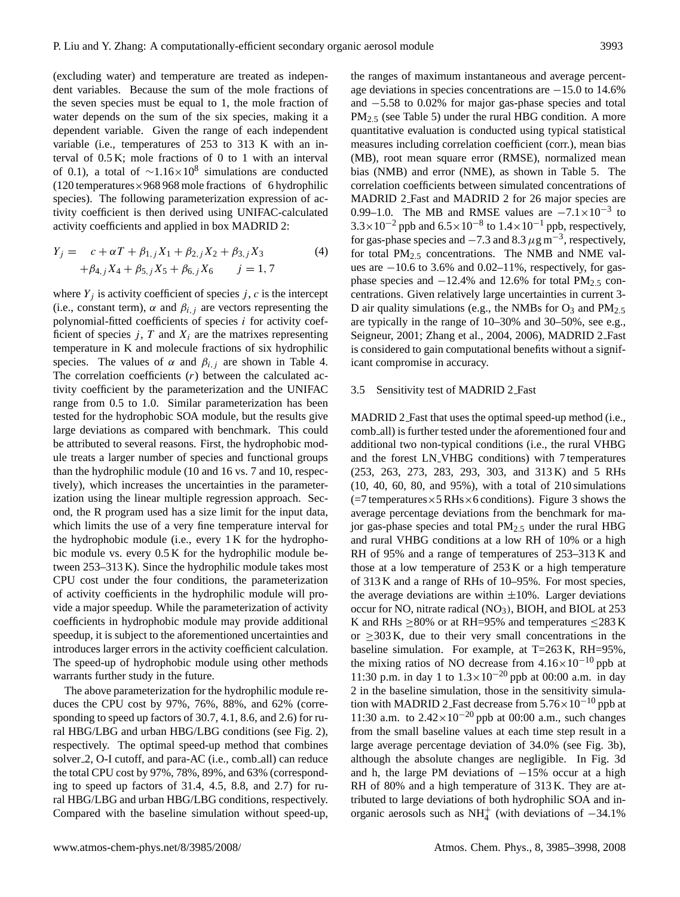(excluding water) and temperature are treated as independent variables. Because the sum of the mole fractions of the seven species must be equal to 1, the mole fraction of water depends on the sum of the six species, making it a dependent variable. Given the range of each independent variable (i.e., temperatures of 253 to 313 K with an interval of 0.5 K; mole fractions of 0 to 1 with an interval of 0.1), a total of  $\sim$ 1.16×10<sup>8</sup> simulations are conducted  $(120$  temperatures $\times$ 968 968 mole fractions of 6 hydrophilic species). The following parameterization expression of activity coefficient is then derived using UNIFAC-calculated activity coefficients and applied in box MADRID 2:

$$
Y_j = c + \alpha T + \beta_{1,j} X_1 + \beta_{2,j} X_2 + \beta_{3,j} X_3
$$
  
+  $\beta_{4,j} X_4 + \beta_{5,j} X_5 + \beta_{6,j} X_6$   $j = 1, 7$  (4)

where  $Y_j$  is activity coefficient of species j, c is the intercept (i.e., constant term),  $\alpha$  and  $\beta_{i,j}$  are vectors representing the polynomial-fitted coefficients of species  $i$  for activity coefficient of species j, T and  $X_i$  are the matrixes representing temperature in K and molecule fractions of six hydrophilic species. The values of  $\alpha$  and  $\beta_{i,j}$  are shown in Table 4. The correlation coefficients  $(r)$  between the calculated activity coefficient by the parameterization and the UNIFAC range from 0.5 to 1.0. Similar parameterization has been tested for the hydrophobic SOA module, but the results give large deviations as compared with benchmark. This could be attributed to several reasons. First, the hydrophobic module treats a larger number of species and functional groups than the hydrophilic module (10 and 16 vs. 7 and 10, respectively), which increases the uncertainties in the parameterization using the linear multiple regression approach. Second, the R program used has a size limit for the input data, which limits the use of a very fine temperature interval for the hydrophobic module (i.e., every 1 K for the hydrophobic module vs. every 0.5 K for the hydrophilic module between 253–313 K). Since the hydrophilic module takes most CPU cost under the four conditions, the parameterization of activity coefficients in the hydrophilic module will provide a major speedup. While the parameterization of activity coefficients in hydrophobic module may provide additional speedup, it is subject to the aforementioned uncertainties and introduces larger errors in the activity coefficient calculation. The speed-up of hydrophobic module using other methods warrants further study in the future.

The above parameterization for the hydrophilic module reduces the CPU cost by 97%, 76%, 88%, and 62% (corresponding to speed up factors of 30.7, 4.1, 8.6, and 2.6) for rural HBG/LBG and urban HBG/LBG conditions (see Fig. 2), respectively. The optimal speed-up method that combines solver 2, O-I cutoff, and para-AC (i.e., comb all) can reduce the total CPU cost by 97%, 78%, 89%, and 63% (corresponding to speed up factors of 31.4, 4.5, 8.8, and 2.7) for rural HBG/LBG and urban HBG/LBG conditions, respectively. Compared with the baseline simulation without speed-up, the ranges of maximum instantaneous and average percentage deviations in species concentrations are −15.0 to 14.6% and −5.58 to 0.02% for major gas-phase species and total PM<sub>2.5</sub> (see Table 5) under the rural HBG condition. A more quantitative evaluation is conducted using typical statistical measures including correlation coefficient (corr.), mean bias (MB), root mean square error (RMSE), normalized mean bias (NMB) and error (NME), as shown in Table 5. The correlation coefficients between simulated concentrations of MADRID 2 Fast and MADRID 2 for 26 major species are 0.99–1.0. The MB and RMSE values are  $-7.1 \times 10^{-3}$  to  $3.3 \times 10^{-2}$  ppb and  $6.5 \times 10^{-8}$  to  $1.4 \times 10^{-1}$  ppb, respectively, for gas-phase species and  $-7.3$  and  $8.3 \mu$ g m<sup>-3</sup>, respectively, for total PM<sub>2.5</sub> concentrations. The NMB and NME values are −10.6 to 3.6% and 0.02–11%, respectively, for gasphase species and  $-12.4\%$  and 12.6% for total PM<sub>2.5</sub> concentrations. Given relatively large uncertainties in current 3- D air quality simulations (e.g., the NMBs for  $O_3$  and  $PM_{2.5}$ are typically in the range of 10–30% and 30–50%, see e.g., Seigneur, 2001; Zhang et al., 2004, 2006), MADRID 2 Fast is considered to gain computational benefits without a significant compromise in accuracy.

#### 3.5 Sensitivity test of MADRID 2 Fast

MADRID 2 Fast that uses the optimal speed-up method (i.e., comb all) is further tested under the aforementioned four and additional two non-typical conditions (i.e., the rural VHBG and the forest LN VHBG conditions) with 7 temperatures (253, 263, 273, 283, 293, 303, and 313 K) and 5 RHs (10, 40, 60, 80, and 95%), with a total of 210 simulations  $(=7$  temperatures  $\times$  5 RHs  $\times$  6 conditions). Figure 3 shows the average percentage deviations from the benchmark for major gas-phase species and total PM2.<sup>5</sup> under the rural HBG and rural VHBG conditions at a low RH of 10% or a high RH of 95% and a range of temperatures of 253–313 K and those at a low temperature of 253 K or a high temperature of 313 K and a range of RHs of 10–95%. For most species, the average deviations are within  $\pm 10$ %. Larger deviations occur for NO, nitrate radical (NO<sub>3</sub>), BIOH, and BIOL at 253 K and RHs  $\geq$ 80% or at RH=95% and temperatures  $\leq$ 283 K or  $\geq$ 303 K, due to their very small concentrations in the baseline simulation. For example, at T=263 K, RH=95%, the mixing ratios of NO decrease from  $4.16\times10^{-10}$  ppb at 11:30 p.m. in day 1 to  $1.3 \times 10^{-20}$  ppb at 00:00 a.m. in day 2 in the baseline simulation, those in the sensitivity simulation with MADRID 2. Fast decrease from  $5.76 \times 10^{-10}$  ppb at 11:30 a.m. to  $2.42 \times 10^{-20}$  ppb at 00:00 a.m., such changes from the small baseline values at each time step result in a large average percentage deviation of 34.0% (see Fig. 3b), although the absolute changes are negligible. In Fig. 3d and h, the large PM deviations of  $-15%$  occur at a high RH of 80% and a high temperature of 313 K. They are attributed to large deviations of both hydrophilic SOA and inorganic aerosols such as NH<sup>+</sup><sub>4</sub> (with deviations of  $-34.1\%$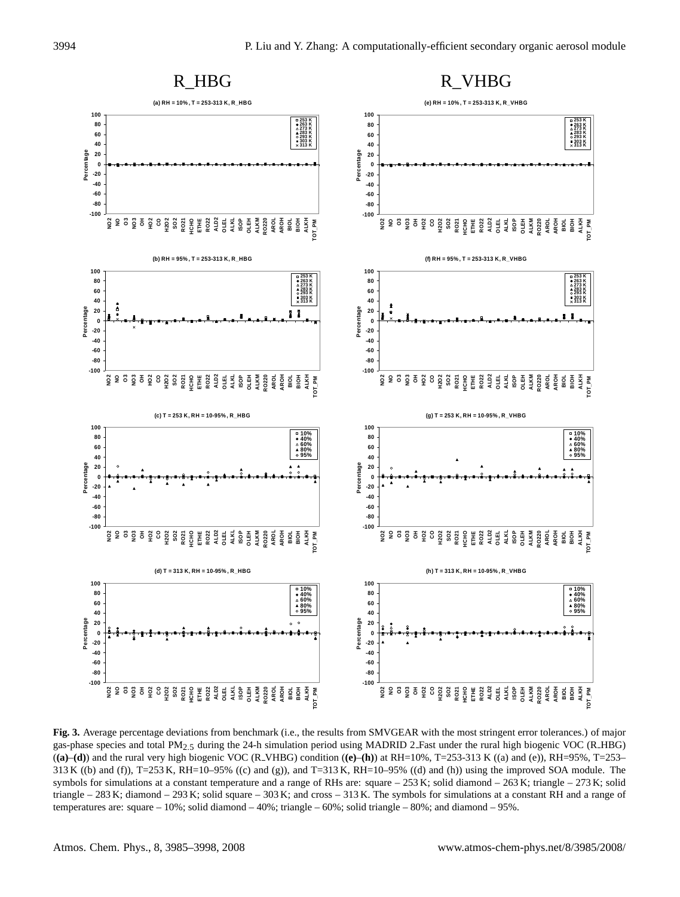

Fig. 3. Average percentage deviations from benchmark (i.e., the results from SMVGEAR with the most stringent error tolerances.) of major gas-phase species and total PM<sub>2.5</sub> during the 24-h simulation period using MADRID 2 (**(a)**–**(d)**) and the rural very high biogenic VOC (R VHBG) condition (**(e)**–**(h)**) at RH=10%, T=253-313 K ((a) and (e)), RH=95%, T=253– 313 K ((b) and (f)), T=253 K, RH=10–95% ((c) and (g)), and T=313 K, RH=10–95% ((d) and (h)) using the improved SOA module. The symbols for simulations at a constant temperature and a range of RHs are: square  $-253$  K; solid diamond  $-263$  K; triangle  $-273$  K; solid triangle – 283 K; diamond – 293 K; solid square – 303 K; and cross – 313 K. The symbols for simulations at a constant RH and a range of temperatures are: square – 10%; solid diamond – 40%; triangle – 60%; solid triangle – 80%; and diamond – 95%.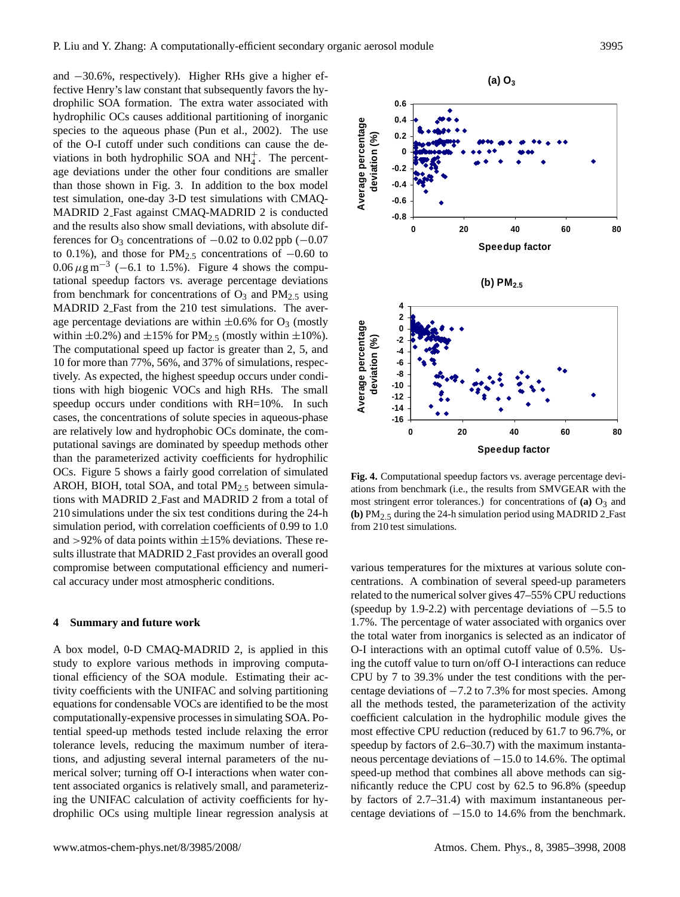P. Liu and Y. Zhang: A computationally-efficient secondary organic aerosol module 3995

and −30.6%, respectively). Higher RHs give a higher effective Henry's law constant that subsequently favors the hydrophilic SOA formation. The extra water associated with hydrophilic OCs causes additional partitioning of inorganic species to the aqueous phase (Pun et al., 2002). The use of the O-I cutoff under such conditions can cause the deviations in both hydrophilic SOA and  $NH<sub>4</sub><sup>+</sup>$ . The percentage deviations under the other four conditions are smaller than those shown in Fig. 3. In addition to the box model test simulation, one-day 3-D test simulations with CMAQ-MADRID 2 Fast against CMAQ-MADRID 2 is conducted and the results also show small deviations, with absolute differences for  $O_3$  concentrations of  $-0.02$  to 0.02 ppb ( $-0.07$ to 0.1%), and those for PM<sub>2.5</sub> concentrations of  $-0.60$  to  $0.06 \,\mu\text{g m}^{-3}$  (-6.1 to 1.5%). Figure 4 shows the computational speedup factors vs. average percentage deviations from benchmark for concentrations of  $O_3$  and  $PM_{2,5}$  using MADRID 2 Fast from the 210 test simulations. The average percentage deviations are within  $\pm 0.6\%$  for O<sub>3</sub> (mostly within  $\pm 0.2\%$ ) and  $\pm 15\%$  for PM<sub>2.5</sub> (mostly within  $\pm 10\%$ ). The computational speed up factor is greater than 2, 5, and 10 for more than 77%, 56%, and 37% of simulations, respectively. As expected, the highest speedup occurs under conditions with high biogenic VOCs and high RHs. The small speedup occurs under conditions with RH=10%. In such cases, the concentrations of solute species in aqueous-phase are relatively low and hydrophobic OCs dominate, the computational savings are dominated by speedup methods other than the parameterized activity coefficients for hydrophilic OCs. Figure 5 shows a fairly good correlation of simulated AROH, BIOH, total SOA, and total  $PM_{2.5}$  between simulations with MADRID 2 Fast and MADRID 2 from a total of 210 simulations under the six test conditions during the 24-h simulation period, with correlation coefficients of 0.99 to 1.0 and  $>92\%$  of data points within  $\pm 15\%$  deviations. These results illustrate that MADRID 2 Fast provides an overall good compromise between computational efficiency and numerical accuracy under most atmospheric conditions.

## **4 Summary and future work**

A box model, 0-D CMAQ-MADRID 2, is applied in this study to explore various methods in improving computational efficiency of the SOA module. Estimating their activity coefficients with the UNIFAC and solving partitioning equations for condensable VOCs are identified to be the most computationally-expensive processes in simulating SOA. Potential speed-up methods tested include relaxing the error tolerance levels, reducing the maximum number of iterations, and adjusting several internal parameters of the numerical solver; turning off O-I interactions when water content associated organics is relatively small, and parameterizing the UNIFAC calculation of activity coefficients for hydrophilic OCs using multiple linear regression analysis at 3. and 3. and 3. and 3. and 3. and 3. and 3. and 3. and 3. and 3. and 3. and 3. and 3. and 3. and 3. and 3. and 3. and 3. and 3. and 3. and 3. and 3. and 3. and 3

**Fig. 4.** Computational speedup factors vs. average percentage deviations from benchmark (i.e., the results from SMVGEAR with the most stringent error tolerances.) for concentrations of  $(a)$   $O_3$  and **(b)** PM<sub>2.5</sub> during the 24-h simulation period using MADRID 2 Fast from 210 test simulations.

various temperatures for the mixtures at various solute concentrations. A combination of several speed-up parameters related to the numerical solver gives 47–55% CPU reductions (speedup by 1.9-2.2) with percentage deviations of −5.5 to 1.7%. The percentage of water associated with organics over the total water from inorganics is selected as an indicator of O-I interactions with an optimal cutoff value of 0.5%. Using the cutoff value to turn on/off O-I interactions can reduce CPU by 7 to 39.3% under the test conditions with the percentage deviations of −7.2 to 7.3% for most species. Among all the methods tested, the parameterization of the activity coefficient calculation in the hydrophilic module gives the most effective CPU reduction (reduced by 61.7 to 96.7%, or speedup by factors of 2.6–30.7) with the maximum instantaneous percentage deviations of −15.0 to 14.6%. The optimal speed-up method that combines all above methods can significantly reduce the CPU cost by 62.5 to 96.8% (speedup by factors of 2.7–31.4) with maximum instantaneous per-

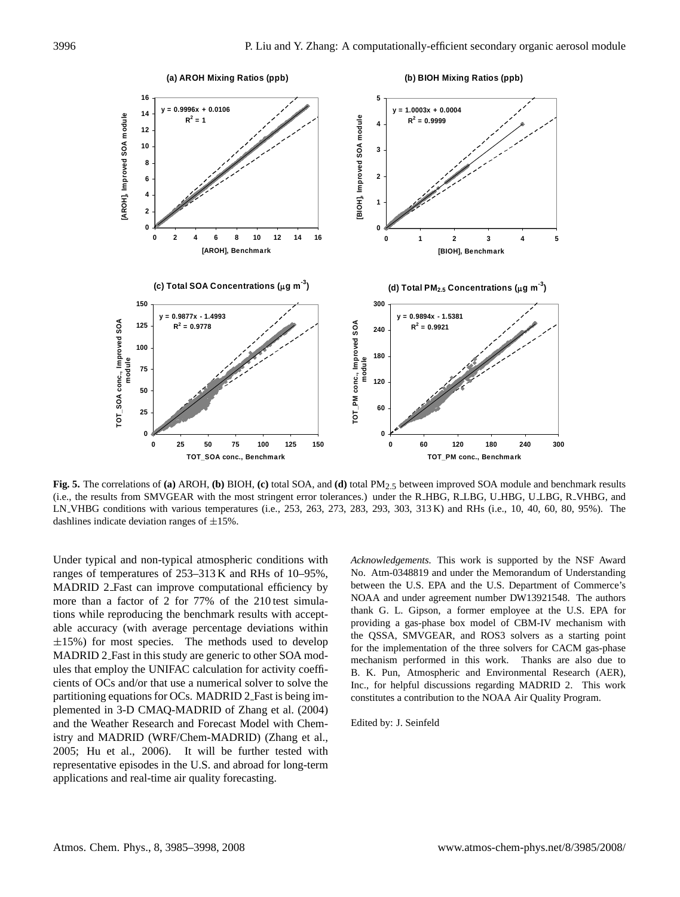

**Fig. 5.** The correlations of **(a)** AROH, **(b)** BIOH, **(c)** total SOA, and **(d)** total PM2.5 between improved SOA module and benchmark results (i.e., the results from SMVGEAR with the most stringent error tolerances.) under the R\_HBG, R\_LBG, U\_HBG, U\_LBG, R\_VHBG, and LN VHBG conditions with various temperatures (i.e., 253, 263, 273, 283, 293, 303, 313 K) and RHs (i.e., 10, 40, 60, 80, 95%). The dashlines indicate deviation ranges of  $\pm 15\%$ .

Under typical and non-typical atmospheric conditions with ranges of temperatures of 253–313 K and RHs of 10–95%, MADRID 2 Fast can improve computational efficiency by more than a factor of 2 for 77% of the 210 test simulations while reproducing the benchmark results with acceptable accuracy (with average percentage deviations within  $\pm 15\%$ ) for most species. The methods used to develop MADRID 2 Fast in this study are generic to other SOA modules that employ the UNIFAC calculation for activity coefficients of OCs and/or that use a numerical solver to solve the partitioning equations for OCs. MADRID 2 Fast is being implemented in 3-D CMAQ-MADRID of Zhang et al. (2004) and the Weather Research and Forecast Model with Chemistry and MADRID (WRF/Chem-MADRID) (Zhang et al., 2005; Hu et al., 2006). It will be further tested with representative episodes in the U.S. and abroad for long-term applications and real-time air quality forecasting.

*Acknowledgements.* This work is supported by the NSF Award No. Atm-0348819 and under the Memorandum of Understanding between the U.S. EPA and the U.S. Department of Commerce's NOAA and under agreement number DW13921548. The authors thank G. L. Gipson, a former employee at the U.S. EPA for providing a gas-phase box model of CBM-IV mechanism with the QSSA, SMVGEAR, and ROS3 solvers as a starting point for the implementation of the three solvers for CACM gas-phase mechanism performed in this work. Thanks are also due to B. K. Pun, Atmospheric and Environmental Research (AER), Inc., for helpful discussions regarding MADRID 2. This work constitutes a contribution to the NOAA Air Quality Program.

Edited by: J. Seinfeld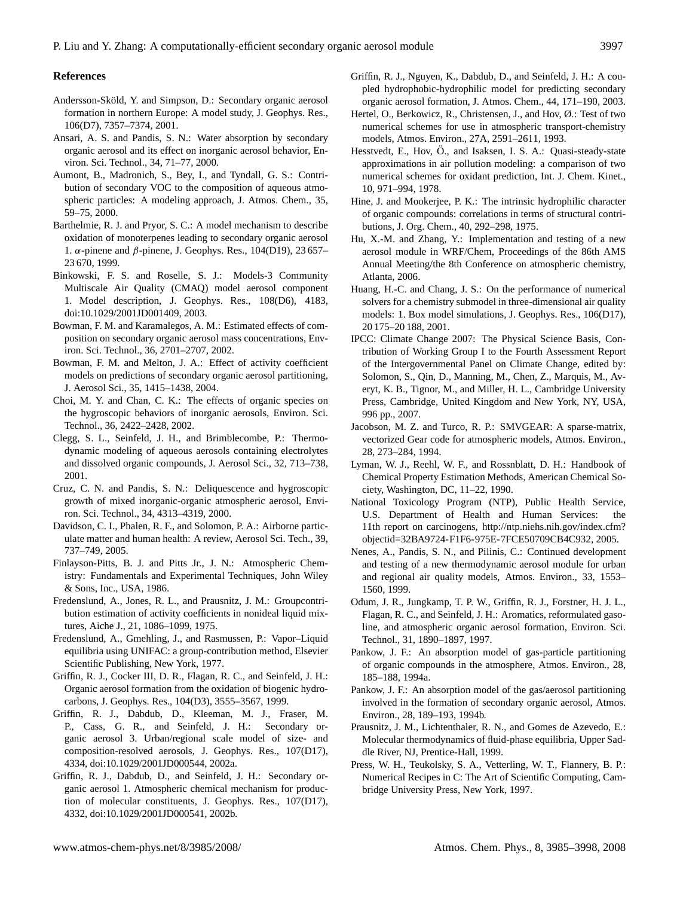## **References**

- Andersson-Sköld, Y. and Simpson, D.: Secondary organic aerosol formation in northern Europe: A model study, J. Geophys. Res., 106(D7), 7357–7374, 2001.
- Ansari, A. S. and Pandis, S. N.: Water absorption by secondary organic aerosol and its effect on inorganic aerosol behavior, Environ. Sci. Technol., 34, 71–77, 2000.
- Aumont, B., Madronich, S., Bey, I., and Tyndall, G. S.: Contribution of secondary VOC to the composition of aqueous atmospheric particles: A modeling approach, J. Atmos. Chem., 35, 59–75, 2000.
- Barthelmie, R. J. and Pryor, S. C.: A model mechanism to describe oxidation of monoterpenes leading to secondary organic aerosol 1. α-pinene and β-pinene, J. Geophys. Res., 104(D19), 23 657– 23 670, 1999.
- Binkowski, F. S. and Roselle, S. J.: Models-3 Community Multiscale Air Quality (CMAQ) model aerosol component 1. Model description, J. Geophys. Res., 108(D6), 4183, doi:10.1029/2001JD001409, 2003.
- Bowman, F. M. and Karamalegos, A. M.: Estimated effects of composition on secondary organic aerosol mass concentrations, Environ. Sci. Technol., 36, 2701–2707, 2002.
- Bowman, F. M. and Melton, J. A.: Effect of activity coefficient models on predictions of secondary organic aerosol partitioning, J. Aerosol Sci., 35, 1415–1438, 2004.
- Choi, M. Y. and Chan, C. K.: The effects of organic species on the hygroscopic behaviors of inorganic aerosols, Environ. Sci. Technol., 36, 2422–2428, 2002.
- Clegg, S. L., Seinfeld, J. H., and Brimblecombe, P.: Thermodynamic modeling of aqueous aerosols containing electrolytes and dissolved organic compounds, J. Aerosol Sci., 32, 713–738, 2001.
- Cruz, C. N. and Pandis, S. N.: Deliquescence and hygroscopic growth of mixed inorganic-organic atmospheric aerosol, Environ. Sci. Technol., 34, 4313–4319, 2000.
- Davidson, C. I., Phalen, R. F., and Solomon, P. A.: Airborne particulate matter and human health: A review, Aerosol Sci. Tech., 39, 737–749, 2005.
- Finlayson-Pitts, B. J. and Pitts Jr., J. N.: Atmospheric Chemistry: Fundamentals and Experimental Techniques, John Wiley & Sons, Inc., USA, 1986.
- Fredenslund, A., Jones, R. L., and Prausnitz, J. M.: Groupcontribution estimation of activity coefficients in nonideal liquid mixtures, Aiche J., 21, 1086–1099, 1975.
- Fredenslund, A., Gmehling, J., and Rasmussen, P.: Vapor–Liquid equilibria using UNIFAC: a group-contribution method, Elsevier Scientific Publishing, New York, 1977.
- Griffin, R. J., Cocker III, D. R., Flagan, R. C., and Seinfeld, J. H.: Organic aerosol formation from the oxidation of biogenic hydrocarbons, J. Geophys. Res., 104(D3), 3555–3567, 1999.
- Griffin, R. J., Dabdub, D., Kleeman, M. J., Fraser, M. P., Cass, G. R., and Seinfeld, J. H.: Secondary organic aerosol 3. Urban/regional scale model of size- and composition-resolved aerosols, J. Geophys. Res., 107(D17), 4334, doi:10.1029/2001JD000544, 2002a.
- Griffin, R. J., Dabdub, D., and Seinfeld, J. H.: Secondary organic aerosol 1. Atmospheric chemical mechanism for production of molecular constituents, J. Geophys. Res., 107(D17), 4332, doi:10.1029/2001JD000541, 2002b.
- Griffin, R. J., Nguyen, K., Dabdub, D., and Seinfeld, J. H.: A coupled hydrophobic-hydrophilic model for predicting secondary organic aerosol formation, J. Atmos. Chem., 44, 171–190, 2003.
- Hertel, O., Berkowicz, R., Christensen, J., and Hov, Ø.: Test of two numerical schemes for use in atmospheric transport-chemistry models, Atmos. Environ., 27A, 2591–2611, 1993.
- Hesstvedt, E., Hov, Ö., and Isaksen, I. S. A.: Quasi-steady-state approximations in air pollution modeling: a comparison of two numerical schemes for oxidant prediction, Int. J. Chem. Kinet., 10, 971–994, 1978.
- Hine, J. and Mookerjee, P. K.: The intrinsic hydrophilic character of organic compounds: correlations in terms of structural contributions, J. Org. Chem., 40, 292–298, 1975.
- Hu, X.-M. and Zhang, Y.: Implementation and testing of a new aerosol module in WRF/Chem, Proceedings of the 86th AMS Annual Meeting/the 8th Conference on atmospheric chemistry, Atlanta, 2006.
- Huang, H.-C. and Chang, J. S.: On the performance of numerical solvers for a chemistry submodel in three-dimensional air quality models: 1. Box model simulations, J. Geophys. Res., 106(D17), 20 175–20 188, 2001.
- IPCC: Climate Change 2007: The Physical Science Basis, Contribution of Working Group I to the Fourth Assessment Report of the Intergovernmental Panel on Climate Change, edited by: Solomon, S., Qin, D., Manning, M., Chen, Z., Marquis, M., Averyt, K. B., Tignor, M., and Miller, H. L., Cambridge University Press, Cambridge, United Kingdom and New York, NY, USA, 996 pp., 2007.
- Jacobson, M. Z. and Turco, R. P.: SMVGEAR: A sparse-matrix, vectorized Gear code for atmospheric models, Atmos. Environ., 28, 273–284, 1994.
- Lyman, W. J., Reehl, W. F., and Rossnblatt, D. H.: Handbook of Chemical Property Estimation Methods, American Chemical Society, Washington, DC, 11–22, 1990.
- National Toxicology Program (NTP), Public Health Service, U.S. Department of Health and Human Services: the 11th report on carcinogens, [http://ntp.niehs.nih.gov/index.cfm?](http://ntp.niehs.nih.gov/index.cfm?objectid=32BA9724-F1F6-975E-7FCE50709CB4C932) [objectid=32BA9724-F1F6-975E-7FCE50709CB4C932,](http://ntp.niehs.nih.gov/index.cfm?objectid=32BA9724-F1F6-975E-7FCE50709CB4C932) 2005.
- Nenes, A., Pandis, S. N., and Pilinis, C.: Continued development and testing of a new thermodynamic aerosol module for urban and regional air quality models, Atmos. Environ., 33, 1553– 1560, 1999.
- Odum, J. R., Jungkamp, T. P. W., Griffin, R. J., Forstner, H. J. L., Flagan, R. C., and Seinfeld, J. H.: Aromatics, reformulated gasoline, and atmospheric organic aerosol formation, Environ. Sci. Technol., 31, 1890–1897, 1997.
- Pankow, J. F.: An absorption model of gas-particle partitioning of organic compounds in the atmosphere, Atmos. Environ., 28, 185–188, 1994a.
- Pankow, J. F.: An absorption model of the gas/aerosol partitioning involved in the formation of secondary organic aerosol, Atmos. Environ., 28, 189–193, 1994b.
- Prausnitz, J. M., Lichtenthaler, R. N., and Gomes de Azevedo, E.: Molecular thermodynamics of fluid-phase equilibria, Upper Saddle River, NJ, Prentice-Hall, 1999.
- Press, W. H., Teukolsky, S. A., Vetterling, W. T., Flannery, B. P.: Numerical Recipes in C: The Art of Scientific Computing, Cambridge University Press, New York, 1997.